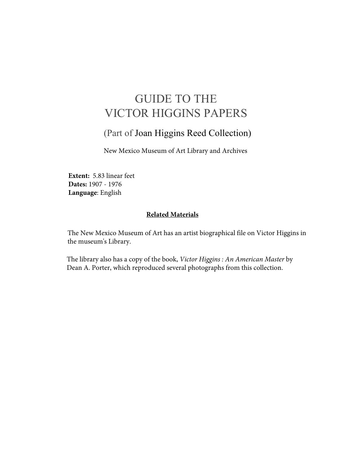## GUIDE TO THE VICTOR HIGGINS PAPERS

#### (Part of Joan Higgins Reed Collection)

New Mexico Museum of Art Library and Archives

**Extent:** 5.83 linear feet **Dates:** 1907 - 1976 **Language**: English

#### **Related Materials**

The New Mexico Museum of Art has an artist biographical file on Victor Higgins in the museum's Library.

The library also has a copy of the book, *Victor Higgins : An American Master* by Dean A. Porter, which reproduced several photographs from this collection.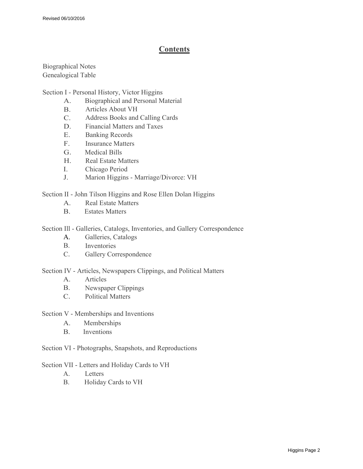#### **Contents**

Biographical Notes Genealogical Table

Section I - Personal History, Victor Higgins

- A. Biographical and Personal Material
- B. Articles About VH
- C. Address Books and Calling Cards
- D. Financial Matters and Taxes
- E. Banking Records
- F. Insurance Matters
- G. Medical Bills
- H. Real Estate Matters
- I. Chicago Period
- J. Marion Higgins - Marriage/Divorce: VH

Section II - John Tilson Higgins and Rose Ellen Dolan Higgins

- A. Real Estate Matters
- B. Estates Matters

Section Ill - Galleries, Catalogs, Inventories, and Gallery Correspondence

- A. Galleries, Catalogs
- B. Inventories
- C. Gallery Correspondence

Section IV - Articles, Newspapers Clippings, and Political Matters

- A. Articles
- B. Newspaper Clippings
- C. Political Matters

Section V - Memberships and Inventions

- A. Memberships
- B. Inventions

Section VI - Photographs, Snapshots, and Reproductions

Section VII - Letters and Holiday Cards to VH

- A. Letters
- B. Holiday Cards to VH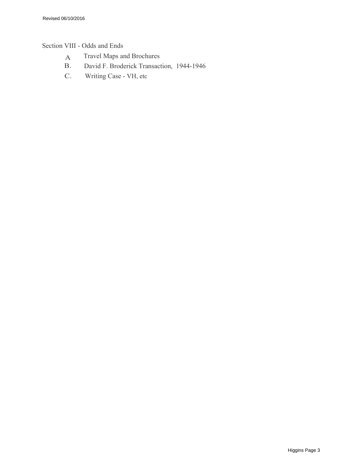#### Section VIII - Odds and Ends

- A Travel Maps and Brochures<br>B. David F. Broderick Transact
- B. David F. Broderick Transaction, 1944-1946
- C. Writing Case VH, etc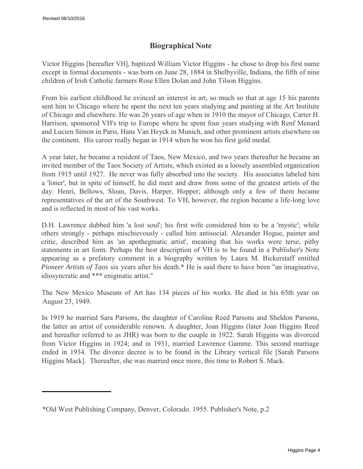#### **Biographical Note**

Victor Higgins [hereafter VH], baptized William Victor Higgins - he chose to drop his first name except in formal documents - was born on June 28, 1884 in Shelbyville, Indiana, the fifth of nine children of Irish Catholic farmers Rose Ellen Dolan and John Tilson Higgins.

From his earliest childhood he evinced an interest in art, so much so that at age 15 his parents sent him to Chicago where he spent the next ten years studying and painting at the Art Institute of Chicago and elsewhere. He was 26 years of age when in 1910 the mayor of Chicago, Carter H. Harrison, sponsored VH's trip to Europe where he spent four years studying with Renf Menard and Lucien Simon in Paris, Hans Van Heyck in Munich, and other prominent artists elsewhere on the continent. His career really began in 1914 when he won his first gold medal.

A year later, he became a resident of Taos, New Mexico, and two years thereafter he became an invited member of the Taos Society of Artists, which existed as a loosely assembled organization from 1915 until 1927. He never was fully absorbed into the society. His associates labeled him a 'loner', but in spite of himself, he did meet and draw from some of the greatest artists of the day: Henri, Bellows, Sloan, Davis, Harper, Hopper; although only a few of them became representatives of the art of the Southwest. To VH, however, the region became a life-long love and is reflected in most of his vast works.

D.H. Lawrence dubbed him 'a lost soul'; his first wife considered him to be a 'mystic'; while others strongly - perhaps mischievously - called him antisocial. Alexander Hogue, painter and critic, described him as 'an apothegmatic artist', meaning that his works were terse, pithy statements in art form. Perhaps the best description of VH is to be found in a Publisher's Note appearing as a prefatory comment in a biography written by Laura M. Bickerstaff entitled *Pioneer Artists of Taos* six years after his death.\* He is said there to have been "an imaginative, idiosyncratic and \*\*\* enigmatic artist."

The New Mexico Museum of Art has 134 pieces of his works. He died in his 65th year on August 23, 1949.

In 1919 he married Sara Parsons, the daughter of Caroline Reed Parsons and Sheldon Parsons, the latter an artist of considerable renown. A daughter, Joan Higgins (later Joan Higgins Reed and hereafter referred to as JHR) was born to the couple in 1922. Sarah Higgins was divorced from Victor Higgins in 1924; and in 1931, married Lawrence Gamme. This second marriage ended in 1934. The divorce decree is to be found in the Library vertical file [Sarah Parsons Higgins Mack]. Thereafter, she was married once more, this time to Robert S. Mack.

<sup>\*</sup>Old West Publishing Company, Denver, Colorado. 1955. Publisher's Note, p.2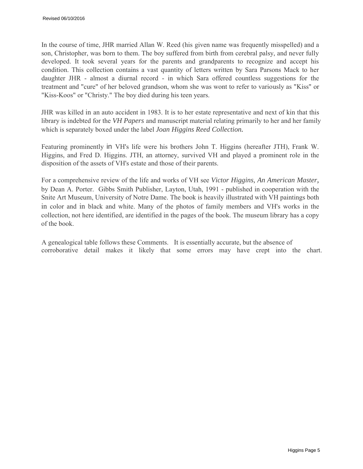In the course of time, JHR married Allan W. Reed (his given name was frequently misspelled) and a son, Christopher, was born to them. The boy suffered from birth from cerebral palsy, and never fully developed. It took several years for the parents and grandparents to recognize and accept his condition. This collection contains a vast quantity of letters written by Sara Parsons Mack to her daughter JHR - almost a diurnal record - in which Sara offered countless suggestions for the treatment and "cure" of her beloved grandson, whom she was wont to refer to variously as "Kiss" or "Kiss-Koos" or "Christy." The boy died during his teen years.

JHR was killed in an auto accident in 1983. It is to her estate representative and next of kin that this library is indebted for the *VH Papers* and manuscript material relating primarily to her and her family which is separately boxed under the label *Joan Higgins Reed Collection.*

Featuring prominently in VH's life were his brothers John T. Higgins (hereafter JTH), Frank W. Higgins, and Fred D. Higgins. JTH, an attorney, survived VH and played a prominent role in the disposition of the assets of VH's estate and those of their parents.

For a comprehensive review of the life and works of VH see *Victor Higgins, An American Master,*  by Dean A. Porter. Gibbs Smith Publisher, Layton, Utah, 1991 - published in cooperation with the Snite Art Museum, University of Notre Dame. The book is heavily illustrated with VH paintings both in color and in black and white. Many of the photos of family members and VH's works in the collection, not here identified, are identified in the pages of the book. The museum library has a copy of the book.

A genealogical table follows these Comments. It is essentially accurate, but the absence of corroborative detail makes it likely that some errors may have crept into the chart.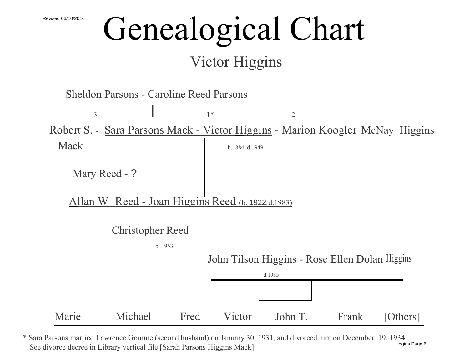# Genealogical Chart

## Victor Higgins

Sheldon Parsons - Caroline Reed Parsons

 $\overline{\phantom{a}1^*}$   $\overline{\phantom{a}1^*}$  2 Robert S. - Sara Parsons Mack - Victor Higgins - Marion Koogler McNay Higgins  $\text{Mack}$  b.1884, d.1949

Mary Reed - ?

Allan W\_ Reed - Joan Higgins Reed (b. 1922*.*d.1983)

Christopher Reed

b. 1953

John Tilson Higgins - Rose Ellen Dolan Higgins



\* Sara Parsons married Lawrence Gomme (second husband) on January 30, 1931, and divorced him on December 19, 1934. See divorce decree in Library vertical file [Sarah Parsons Higgins Mack]. Higgins Page 6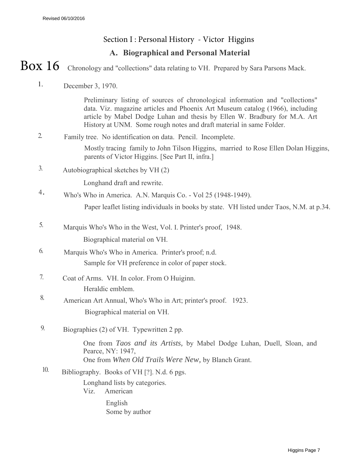### **A. Biographical and Personal Material** Section I : Personal History - Victor Higgins

Chronology and "collections" data relating to VH. Prepared by Sara Parsons Mack. Box 16

1. December 3, 1970.

> Preliminary listing of sources of chronological information and "collections" data. Viz. magazine articles and Phoenix Art Museum catalog (1966), including article by Mabel Dodge Luhan and thesis by Ellen W. Bradbury for M.A. Art History at UNM. Some rough notes and draft material in same Folder.

- 2. Family tree. No identification on data. Pencil. Incomplete. Mostly tracing family to John Tilson Higgins, married to Rose Ellen Dolan Higgins, parents of Victor Higgins. [See Part II, infra.]
- 3. Autobiographical sketches by VH (2)

Longhand draft and rewrite.

<sup>4</sup>. Who's Who in America. A.N. Marquis Co. - Vol 25 (1948-1949).

Paper leaflet listing individuals in books by state. VH listed under Taos, N.M. at p.34.

- 5. Marquis Who's Who in the West, Vol. I. Printer's proof, 1948. Biographical material on VH.
- 6. Marquis Who's Who in America. Printer's proof; n.d. Sample for VH preference in color of paper stock.
- 7. Coat of Arms. VH. In color. From O Huiginn. Heraldic emblem.
- 8. American Art Annual, Who's Who in Art; printer's proof. 1923. Biographical material on VH.
- 9. Biographies (2) of VH. Typewritten 2 pp.

One from *Taos and its Artists,* by Mabel Dodge Luhan, Duell, Sloan, and Pearce, NY: 1947, One from *When Old Trails Were New,* by Blanch Grant.

 $10.$  Bibliography. Books of VH [?]. N.d. 6 pgs. Longhand lists by categories. Viz. American

> English Some by author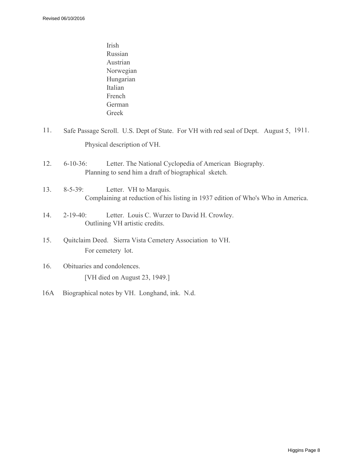- Irish Russian Austrian Norwegian Hungarian Italian French German Greek
- 11. Safe Passage Scroll. U.S. Dept of State. For VH with red seal of Dept. August 5, 1911. Physical description of VH.
- 12. 6-10-36: Letter. The National Cyclopedia of American Biography. Planning to send him a draft of biographical sketch.

#### 13. 8-5-39: Letter. VH to Marquis. Complaining at reduction of his listing in 1937 edition of Who's Who in America.

- 14. 2-19-40: Letter. Louis C. Wurzer to David H. Crowley. Outlining VH artistic credits.
- 15. Quitclaim Deed. Sierra Vista Cemetery Association to VH. For cemetery lot.
- 16. Obituaries and condolences. [VH died on August 23, 1949.]
- 16A Biographical notes by VH. Longhand, ink. N.d.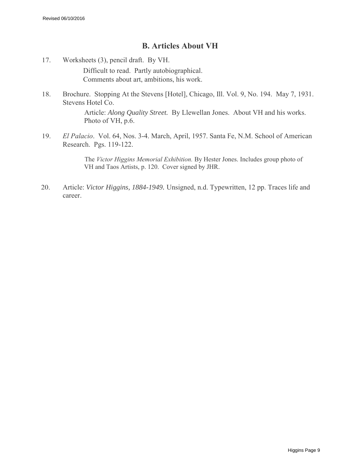#### **B. Articles About VH**

- 17. Worksheets (3), pencil draft. By VH. Difficult to read. Partly autobiographical. Comments about art, ambitions, his work.
- 18. Brochure. Stopping At the Stevens [Hotel], Chicago, Ill. Vol. 9, No. 194. May 7, 1931. Stevens Hotel Co.

Article: *Along Quality Street.* By Llewellan Jones. About VH and his works. Photo of VH, p.6.

19. *El Palacio*. Vol. 64, Nos. 3-4. March, April, 1957. Santa Fe, N.M. School of American Research. Pgs. 119-122.

> The *Victor Higgins Memorial Exhibition.* By Hester Jones. Includes group photo of VH and Taos Artists, p. 120. Cover signed by JHR.

20. Article: *Victor Higgins, 1884-1949.* Unsigned, n.d. Typewritten, 12 pp. Traces life and career.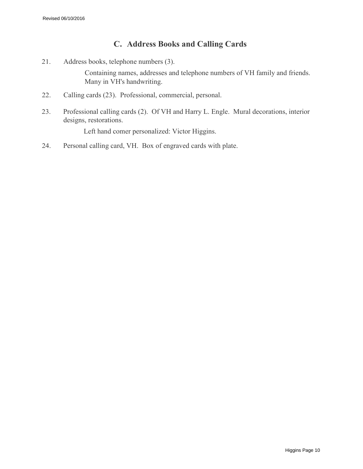#### **C. Address Books and Calling Cards**

21. Address books, telephone numbers (3).

Containing names, addresses and telephone numbers of VH family and friends. Many in VH's handwriting.

- 22. Calling cards (23). Professional, commercial, personal.
- 23. Professional calling cards (2). Of VH and Harry L. Engle. Mural decorations, interior designs, restorations.

Left hand comer personalized: Victor Higgins.

24. Personal calling card, VH. Box of engraved cards with plate.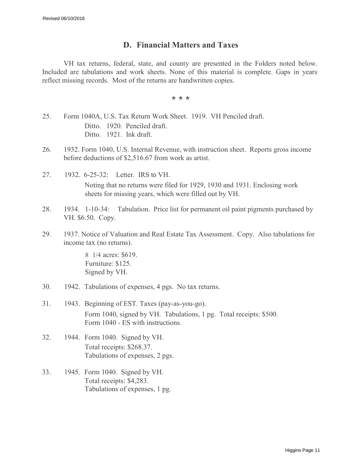#### **D. Financial Matters and Taxes**

VH tax returns, federal, state, and county are presented in the Folders noted below. Included are tabulations and work sheets. None of this material is complete. Gaps in years reflect missing records. Most of the returns are handwritten copies.

\* \* \*

- 25. Form 1040A, U.S. Tax Return Work Sheet. 1919. VH Penciled draft. Ditto. 1920. Penciled draft. Ditto. 1921. Ink draft.
- 26. 1932. Form 1040, U.S. Internal Revenue, with instruction sheet. Reports gross income before deductions of \$2,516.67 from work as artist.
- 27. 1932. 6-25-32: Letter. IRS to VH. Noting that no returns were filed for 1929, 1930 and 1931. Enclosing work sheets for missing years, which were filled out by VH.
- 28. 1934. 1-10-34: Tabulation. Price list for permanent oil paint pigments purchased by VH. \$6.50. Copy.
- 29. 1937. Notice of Valuation and Real Estate Tax Assessment. Copy. Also tabulations for income tax (no returns).

8 1/4 acres: \$619. Furniture: \$125. Signed by VH.

- 30. 1942. Tabulations of expenses, 4 pgs. No tax returns.
- 31. 1943. Beginning of EST. Taxes (pay-as-you-go). Form 1040, signed by VH. Tabulations, 1 pg. Total receipts: \$500. Form 1040 - ES with instructions.
- 32. 1944. Form 1040. Signed by VH. Total receipts: \$268.37. Tabulations of expenses, 2 pgs.
- 33. 1945. Form 1040. Signed by VH. Total receipts: \$4,283. Tabulations of expenses, 1 pg.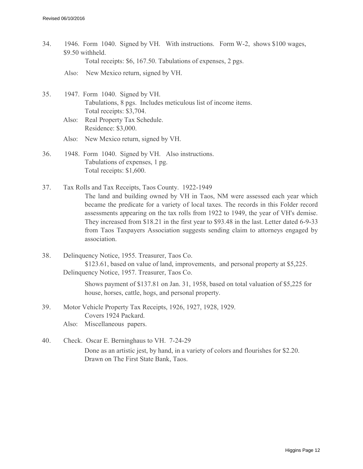- 34. 1946. Form 1040. Signed by VH. With instructions. Form W-2, shows \$100 wages, \$9.50 withheld. Total receipts: \$6, 167.50. Tabulations of expenses, 2 pgs.
	- Also: New Mexico return, signed by VH.
- 35. 1947. Form 1040. Signed by VH. Tabulations, 8 pgs. Includes meticulous list of income items. Total receipts: \$3,704.
	- Also: Real Property Tax Schedule. Residence: \$3,000.
	- Also: New Mexico return, signed by VH.
- 36. 1948. Form 1040. Signed by VH. Also instructions. Tabulations of expenses, 1 pg. Total receipts: \$1,600.
- 37. Tax Rolls and Tax Receipts, Taos County. 1922-1949 The land and building owned by VH in Taos, NM were assessed each year which became the predicate for a variety of local taxes. The records in this Folder record assessments appearing on the tax rolls from 1922 to 1949, the year of VH's demise. They increased from \$18.21 in the first year to \$93.48 in the last. Letter dated 6-9-33 from Taos Taxpayers Association suggests sending claim to attorneys engaged by association.
- 38. Delinquency Notice, 1955. Treasurer, Taos Co. \$123.61, based on value of land, improvements, and personal property at \$5,225. Delinquency Notice, 1957. Treasurer, Taos Co.

Shows payment of \$137.81 on Jan. 31, 1958, based on total valuation of \$5,225 for house, horses, cattle, hogs, and personal property.

- 39. Motor Vehicle Property Tax Receipts, 1926, 1927, 1928, 1929. Covers 1924 Packard.
	- Also: Miscellaneous papers.
- 40. Check. Oscar E. Berninghaus to VH. 7-24-29 Done as an artistic jest, by hand, in a variety of colors and flourishes for \$2.20. Drawn on The First State Bank, Taos.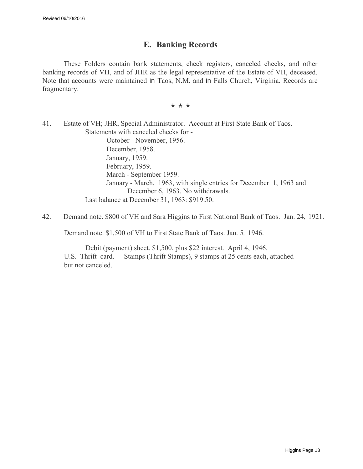#### **E. Banking Records**

These Folders contain bank statements, check registers, canceled checks, and other banking records of VH, and of JHR as the legal representative of the Estate of VH, deceased. Note that accounts were maintained in Taos, N.M. and in Falls Church, Virginia. Records are fragmentary.

\* \* \*

41. Estate of VH; JHR, Special Administrator. Account at First State Bank of Taos. Statements with canceled checks for - October - November, 1956. December, 1958. January, 1959. February, 1959. March - September 1959. January - March, 1963, with single entries for December 1, 1963 and December 6, 1963. No withdrawals. Last balance at December 31, 1963: \$919.50.

42. Demand note. \$800 of VH and Sara Higgins to First National Bank of Taos. Jan. 24, 1921.

Demand note. \$1,500 of VH to First State Bank of Taos. Jan. 5*,* 1946.

Debit (payment) sheet. \$1,500, plus \$22 interest. April 4, 1946. U.S. Thrift card. Stamps (Thrift Stamps), 9 stamps at 25 cents each, attached but not canceled.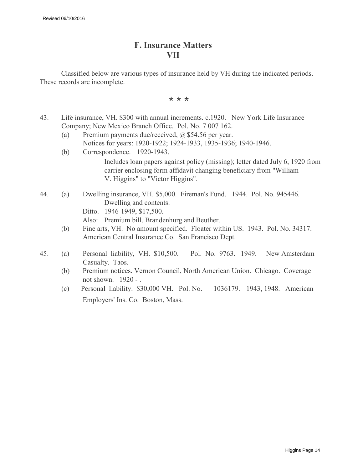#### **F. Insurance Matters VH**

Classified below are various types of insurance held by VH during the indicated periods. These records are incomplete.

\* \* \*

- 43. Life insurance, VH. \$300 with annual increments. c.1920. New York Life Insurance Company; New Mexico Branch Office. Pol. No. 7 007 162.
	- (a) Premium payments due/received, @ \$54.56 per year. Notices for years: 1920-1922; 1924-1933, 1935-1936; 1940-1946.
	- (b) Correspondence. 1920-1943. Includes loan papers against policy (missing); letter dated July 6, 1920 from carrier enclosing form affidavit changing beneficiary from "William V. Higgins" to "Victor Higgins".
- 44. (a) Dwelling insurance, VH. \$5,000. Fireman's Fund. 1944. Pol. No. 945446. Dwelling and contents. Ditto. 1946-1949, \$17,500.

Also: Premium bill. Brandenhurg and Beuther.

- (b) Fine arts, VH. No amount specified. Floater within US. 1943. Pol. No. 34317. American Central Insurance Co. San Francisco Dept.
- 45. (a) Personal liability, VH. \$10,500. Pol. No. 9763. 1949. New Amsterdam Casualty. Taos.
	- (b) Premium notices. Vernon Council, North American Union. Chicago. Coverage not shown. 1920 - .
	- (c) Personal liability. \$30,000 VH. Pol. No. 1036179. 1943, 1948. American Employers' Ins. Co. Boston, Mass.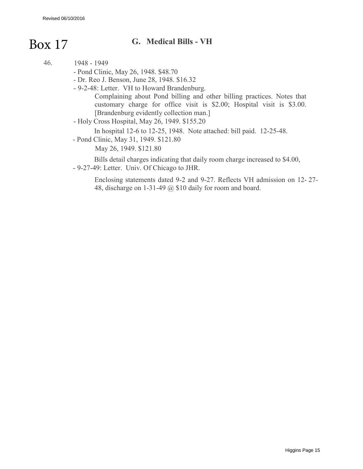## **G.** Medical Bills - VH

| 46. | 1948 - 1949        |  |
|-----|--------------------|--|
|     | $-Dond Clinic$ May |  |

- Pond Clinic, May 26, 1948. \$48.70
- Dr. Reo J. Benson, June 28, 1948. \$16.32
- 9-2-48: Letter. VH to Howard Brandenburg.

Complaining about Pond billing and other billing practices. Notes that customary charge for office visit is \$2.00; Hospital visit is \$3.00. [Brandenburg evidently collection man.]

- Holy Cross Hospital, May 26, 1949. \$155.20

In hospital 12-6 to 12-25, 1948. Note attached: bill paid. 12-25-48.

- Pond Clinic, May 31, 1949. \$121.80

May 26, 1949. \$121.80

Bills detail charges indicating that daily room charge increased to \$4.00, - 9-27-49: Letter. Univ. Of Chicago to JHR.

Enclosing statements dated 9-2 and 9-27. Reflects VH admission on 12- 27- 48, discharge on 1-31-49 @ \$10 daily for room and board.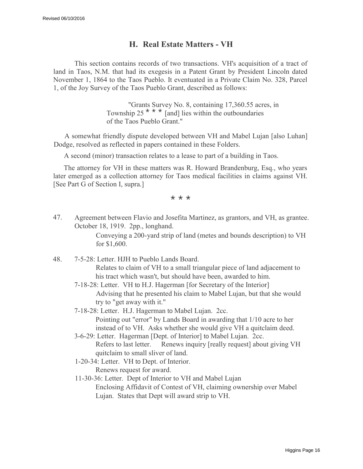#### **H. Real Estate Matters - VH**

This section contains records of two transactions. VH's acquisition of a tract of land in Taos, N.M. that had its exegesis in a Patent Grant by President Lincoln dated November 1, 1864 to the Taos Pueblo. It eventuated in a Private Claim No. 328, Parcel 1, of the Joy Survey of the Taos Pueblo Grant, described as follows:

> "Grants Survey No. 8, containing 17,360.55 acres, in Township 25<sup>\*\*\*</sup> [and] lies within the outboundaries of the Taos Pueblo Grant."

A somewhat friendly dispute developed between VH and Mabel Lujan [also Luhan] Dodge, resolved as reflected in papers contained in these Folders.

A second (minor) transaction relates to a lease to part of a building in Taos.

The attorney for VH in these matters was R. Howard Brandenburg, Esq., who years later emerged as a collection attorney for Taos medical facilities in claims against VH. [See Part G of Section I, supra.]

\* \* \*

47. Agreement between Flavio and Josefita Martinez, as grantors, and VH, as grantee. October 18, 1919. 2pp., longhand.

> Conveying a 200-yard strip of land (metes and bounds description) to VH for \$1,600.

- 48. 7-5-28: Letter. HJH to Pueblo Lands Board. Relates to claim of VH to a small triangular piece of land adjacement to his tract which wasn't, but should have been, awarded to him.
	- 7-18-28: Letter. VH to H.J. Hagerman [for Secretary of the Interior] Advising that he presented his claim to Mabel Lujan, but that she would try to "get away with it."

7-18-28: Letter. H.J. Hagerman to Mabel Lujan. 2cc. Pointing out "error" by Lands Board in awarding that 1/10 acre to her instead of to VH. Asks whether she would give VH a quitclaim deed.

- 3-6-29: Letter. Hagerman [Dept. of Interior] to Mabel Lujan. 2cc. Refers to last letter. Renews inquiry [really request] about giving VH quitclaim to small sliver of land.
- 1-20-34: Letter. VH to Dept. of Interior. Renews request for award.

11-30-36: Letter. Dept of Interior to VH and Mabel Lujan Enclosing Affidavit of Contest of VH, claiming ownership over Mabel Lujan. States that Dept will award strip to VH.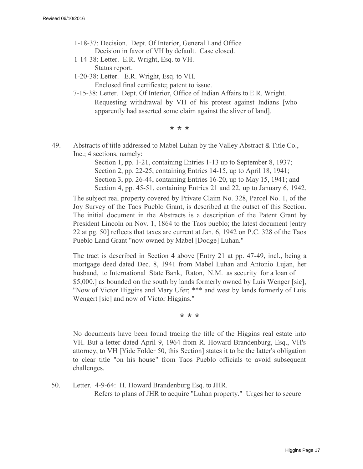- 1-18-37: Decision. Dept. Of Interior, General Land Office Decision in favor of VH by default. Case closed.
- 1-14-38: Letter. E.R. Wright, Esq. to VH. Status report.
- 1-20-38: Letter. E.R. Wright, Esq. to VH. Enclosed final certificate; patent to issue.
- 7-15-38: Letter. Dept. Of Interior, Office of Indian Affairs to E.R. Wright. Requesting withdrawal by VH of his protest against Indians [who apparently had asserted some claim against the sliver of land].

\* \* \*

49. Abstracts of title addressed to Mabel Luhan by the Valley Abstract & Title Co., Inc.; 4 sections, namely:

> Section 1, pp. 1-21, containing Entries 1-13 up to September 8, 1937; Section 2, pp. 22-25, containing Entries 14-15, up to April 18, 1941; Section 3, pp. 26-44, containing Entries 16-20, up to May 15, 1941; and Section 4, pp. 45-51, containing Entries 21 and 22, up to January 6, 1942.

The subject real property covered by Private Claim No. 328, Parcel No. 1, of the Joy Survey of the Taos Pueblo Grant, is described at the outset of this Section. The initial document in the Abstracts is a description of the Patent Grant by President Lincoln on Nov. 1, 1864 to the Taos pueblo; the latest document [entry 22 at pg. 50] reflects that taxes are current at Jan. 6, 1942 on P.C. 328 of the Taos Pueblo Land Grant "now owned by Mabel [Dodge] Luhan."

The tract is described in Section 4 above [Entry 21 at pp. 47-49, incl., being a mortgage deed dated Dec. 8, 1941 from Mabel Luhan and Antonio Lujan, her husband, to International State Bank, Raton, N.M. as security for a loan of \$5,000.] as bounded on the south by lands formerly owned by Luis Wenger [sic], "Now of Victor Higgins and Mary Ufer; \*\*\* and west by lands formerly of Luis Wengert [sic] and now of Victor Higgins."

\* \* \*

No documents have been found tracing the title of the Higgins real estate into VH. But a letter dated April 9, 1964 from R. Howard Brandenburg, Esq., VH's attorney, to VH [Yide Folder 50, this Section] states it to be the latter's obligation to clear title "on his house" from Taos Pueblo officials to avoid subsequent challenges.

50. Letter. 4-9-64: H. Howard Brandenburg Esq. to JHR. Refers to plans of JHR to acquire "Luhan property." Urges her to secure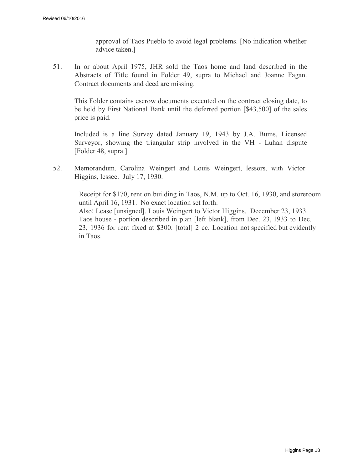approval of Taos Pueblo to avoid legal problems. [No indication whether advice taken.]

51. In or about April 1975, JHR sold the Taos home and land described in the Abstracts of Title found in Folder 49, supra to Michael and Joanne Fagan. Contract documents and deed are missing.

This Folder contains escrow documents executed on the contract closing date, to be held by First National Bank until the deferred portion [\$43,500] of the sales price is paid.

Included is a line Survey dated January 19, 1943 by J.A. Bums, Licensed Surveyor, showing the triangular strip involved in the VH - Luhan dispute [Folder 48, supra.]

52. Memorandum. Carolina Weingert and Louis Weingert, lessors, with Victor Higgins, lessee. July 17, 1930.

> Receipt for \$170, rent on building in Taos, N.M. up to Oct. 16, 1930, and storeroom until April 16, 1931. No exact location set forth. Also: Lease [unsigned]. Louis Weingert to Victor Higgins. December 23, 1933. Taos house - portion described in plan [left blank], from Dec. 23, 1933 to Dec. 23, 1936 for rent fixed at \$300. [total] 2 cc. Location not specified but evidently in Taos.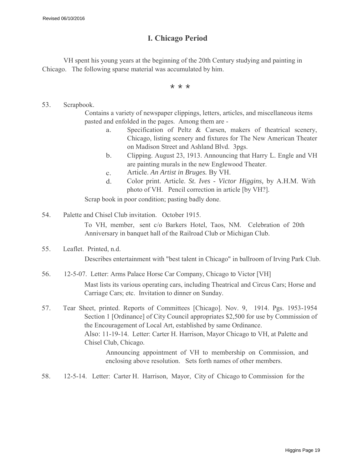#### **I. Chicago Period**

VH spent his young years at the beginning of the 20th Century studying and painting in Chicago. The following sparse material was accumulated by him.

\* \* \*

#### 53. Scrapbook.

Contains a variety of newspaper clippings, letters, articles, and miscellaneous items pasted and enfolded in the pages. Among them are -

- a. Specification of Peltz & Carsen, makers of theatrical scenery, Chicago, listing scenery and fixtures for The New American Theater on Madison Street and Ashland Blvd. 3pgs.
- b. Clipping. August 23, 1913. Announcing that Harry L. Engle and VH are painting murals in the new Englewood Theater.
- c. Article. *An Artist in Bruges.* By VH.
- d. Color print. Article. *St. Ives Victor Higgins,* by A.H.M. With photo of VH. Pencil correction in article [by VH?].

Scrap book in poor condition; pasting badly done.

- 54. Palette and Chisel Club invitation. October 1915. To VH, member, sent c/o Barkers Hotel, Taos, NM. Celebration of 20th Anniversary in banquet hall of the Railroad Club or Michigan Club.
- 55. Leaflet. Printed, n.d.

Describes entertainment with "best talent in Chicago" in ballroom of Irving Park Club.

- 56. 12-5-07. Letter: Arms Palace Horse Car Company, Chicago to Victor [VH] Mast lists its various operating cars, including Theatrical and Circus Cars; Horse and Carriage Cars; etc. Invitation to dinner on Sunday.
- 57. Tear Sheet, printed. Reports of Committees [Chicago]. Nov. 9, 1914. Pgs. 1953-1954 Section 1 [Ordinance] of City Council appropriates \$2,500 for use by Commission of the Encouragement of Local Art, established by same Ordinance. Also: 11-19-14. Letter: Carter H. Harrison, Mayor Chicago to VH, at Palette and Chisel Club, Chicago.

Announcing appointment of VH to membership on Commission, and enclosing above resolution. Sets forth names of other members.

58. 12-5-14. Letter: Carter H. Harrison, Mayor, City of Chicago to Commission for the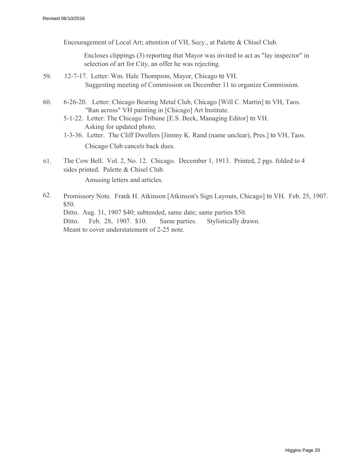Encouragement of Local Art; attention of VH, Secy., at Palette & Chisel Club.

Encloses clippings (3) reporting that Mayor was invited to act as "lay inspector" in selection of art for City, an offer he was rejecting.

- 59. 12-7-17. Letter: Wm. Hale Thompson, Mayor, Chicago to VH. Suggesting meeting of Commission on December 11 to organize Commission.
- 60. 6-26-20. Letter: Chicago Bearing Metal Club, Chicago [Will C. Martin] to VH, Taos. "Ran across" VH painting in [Chicago] Art Institute.
	- 5-1-22. Letter: The Chicago Tribune [E.S. Beck, Managing Editor] to VH. Asking for updated photo.
	- 1-3-36. Letter. The Cliff Dwellers [Jimmy K. Rand (name unclear), Pres.] to VH, Taos. Chicago Club cancels back dues.
- 61. The Cow Bell. Vol. 2, No. 12. Chicago. December 1, 1913. Printed, 2 pgs. folded to 4 sides printed. Palette & Chisel Club. Amusing letters and articles.
- 62. Promissory Note. Frank H. Atkinson [Atkinson's Sign Layouts, Chicago] to VH. Feb. 25, 1907. \$50. Ditto. Aug. 31, 1907 \$40; subtended, same date; same parties \$50. Ditto. Feb. 28, 1907. \$10. Same parties. Stylistically drawn. Meant to cover understatement of 2-25 note.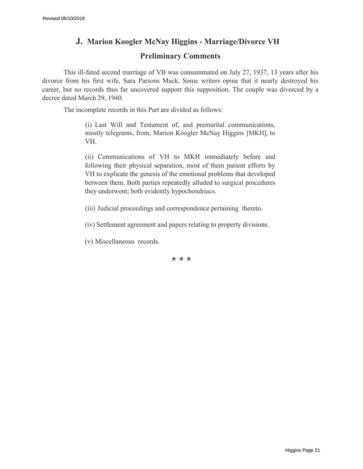#### **J. Marion Koogler McNay Higgins - Marriage/Divorce VH**

#### **Preliminary Comments**

This ill-fated second marriage of VB was consummated on July 27, 1937, 13 years after his divorce from his first wife, Sara Parsons Mack. Some writers opine that it nearly destroyed his career, but no records thus far uncovered support this supposition. The couple was divorced by a decree dated March 29, 1940.

The incomplete records in this Part are divided as follows:

(i) Last Will and Testament of, and premarital communications, mostly telegrams, from, Marion Koogler McNay Higgins [MKH], to VH.

(ii) Communications of VH to MKH immediately before and following their physical separation, most of them patient efforts by VH to explicate the genesis of the emotional problems that developed between them. Both parties repeatedly alluded to surgical procedures they underwent; both evidently hypochondriacs.

(iii) Judicial proceedings and correspondence pertaining thereto.

(iv) Settlement agreement and papers relating to property divisions.

(v) Miscellaneous records.

\* \* \*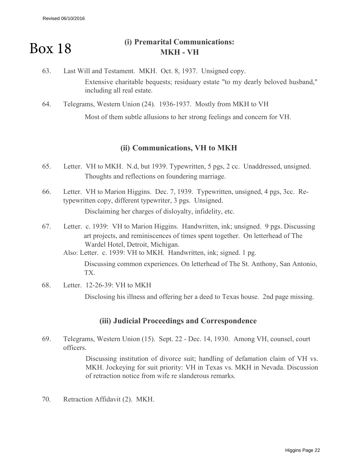#### **(i) Premarital Communications: MKH - VH** Box 18

- 63. Last Will and Testament. MKH. Oct. 8, 1937. Unsigned copy. Extensive charitable bequests; residuary estate "to my dearly beloved husband," including all real estate.
- 64. Telegrams, Western Union (24). 1936-1937. Mostly from MKH to VH

Most of them subtle allusions to her strong feelings and concern for VH.

#### **(ii) Communications, VH to MKH**

- 65. Letter. VH to MKH. N.d, but 1939. Typewritten, 5 pgs, 2 cc. Unaddressed, unsigned. Thoughts and reflections on foundering marriage.
- 66. Letter. VH to Marion Higgins. Dec. 7, 1939. Typewritten, unsigned, 4 pgs, 3cc. Retypewritten copy, different typewriter, 3 pgs. Unsigned. Disclaiming her charges of disloyalty, infidelity, etc.
- 67. Letter. c. 1939: VH to Marion Higgins. Handwritten, ink; unsigned. 9 pgs. Discussing art projects, and reminiscences of times spent together. On letterhead of The Wardel Hotel, Detroit, Michigan.

Also: Letter. c. 1939: VH to MKH. Handwritten, ink; signed. 1 pg.

Discussing common experiences. On letterhead of The St. Anthony, San Antonio, TX.

68. Letter. 12-26-39: VH to MKH

Disclosing his illness and offering her a deed to Texas house. 2nd page missing.

#### **(iii) Judicial Proceedings and Correspondence**

69. Telegrams, Western Union (15). Sept. 22 - Dec. 14, 1930. Among VH, counsel, court officers.

> Discussing institution of divorce suit; handling of defamation claim of VH vs. MKH. Jockeying for suit priority: VH in Texas vs. MKH in Nevada. Discussion of retraction notice from wife re slanderous remarks.

70. Retraction Affidavit (2). MKH.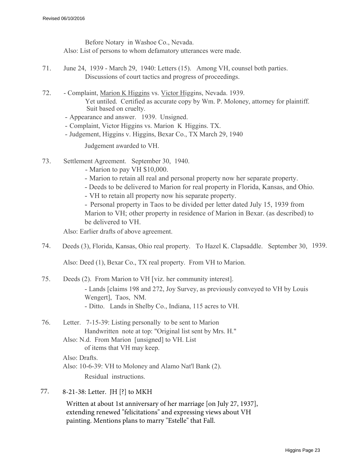Before Notary in Washoe Co., Nevada. Also: List of persons to whom defamatory utterances were made.

- 71. June 24, 1939 March 29, 1940: Letters (15). Among VH, counsel both parties. Discussions of court tactics and progress of proceedings.
- 72. Complaint, Marion K Higgins vs. Victor Higgins, Nevada. 1939. Yet untiled. Certified as accurate copy by Wm. P. Moloney, attorney for plaintiff. Suit based on cruelty.

- Appearance and answer. 1939. Unsigned.

- Complaint, Victor Higgins vs. Marion K Higgins. TX.
- Judgement, Higgins v. Higgins, Bexar Co., TX March 29, 1940

Judgement awarded to VH.

- 73. Settlement Agreement. September 30, 1940.
	- Marion to pay VH \$10,000.
	- Marion to retain all real and personal property now her separate property.
	- Deeds to be delivered to Marion for real property in Florida, Kansas, and Ohio.
	- VH to retain all property now his separate property.

- Personal property in Taos to be divided per letter dated July 15, 1939 from Marion to VH; other property in residence of Marion in Bexar. (as described) to be delivered to VH.

Also: Earlier drafts of above agreement.

74. Deeds (3), Florida, Kansas, Ohio real property. To Hazel K. Clapsaddle. September 30, 1939.

Also: Deed (1), Bexar Co., TX real property. From VH to Marion.

- 75. Deeds (2). From Marion to VH [viz. her community interest]. - Lands [claims 198 and 272, Joy Survey, as previously conveyed to VH by Louis Wengert], Taos, NM. - Ditto. Lands in Shelby Co., Indiana, 115 acres to VH.
- 76. Letter. 7-15-39: Listing personally to be sent to Marion Handwritten note at top: "Original list sent by Mrs. H." Also: N.d. From Marion [unsigned] to VH. List

of items that VH may keep.

Also: Drafts.

Also: 10-6-39: VH to Moloney and Alamo Nat'l Bank (2).

Residual instructions.

77. 8-21-38: Letter. JH [?] to MKH

Written at about 1st anniversary of her marriage [on July 27, 1937], extending renewed "felicitations" and expressing views about VH painting. Mentions plans to marry "Estelle" that Fall.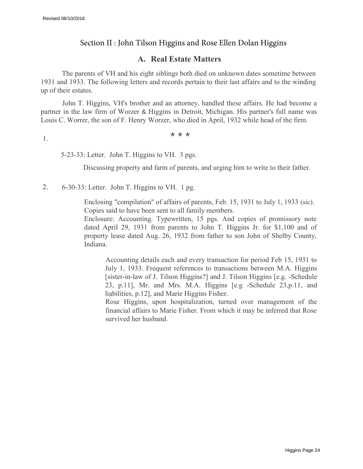#### Section II : John Tilson Higgins and Rose Ellen Dolan Higgins

#### **A. Real Estate Matters**

The parents of VH and his eight siblings both died on unknown dates sometime between 1931 and 1933. The following letters and records pertain to their last affairs and to the winding up of their estates.

John T. Higgins, VH's brother and an attorney, handled these affairs. He had become a partner in the law firm of Worzer & Higgins in Detroit, Michigan. His partner's full name was Louis C. Worrer, the son of F. Henry Worzer, who died in April, 1932 while head of the firm.

1.  $\star \star \star$ 

5-23-33: Letter. John T. Higgins to VH. 3 pgs.

Discussing property and farm of parents, and urging him to write to their father.

2. 6-30-33: Letter. John T. Higgins to VH. 1 pg.

Enclosing "compilation" of affairs of parents, Feb. 15, 1931 to July 1, 1933 (sic). Copies said to have been sent to all family members.

Enclosure: Accounting. Typewritten, 15 pgs. And copies of promissory note dated April 29, 1931 from parents to John T. Higgins Jr. for \$1,100 and of property lease dated Aug. 26, 1932 from father to son John of Shelby County, Indiana.

Accounting details each and every transaction for period Feb 15, 1931 to July 1, 1933. Frequent references to transactions between M.A. Higgins [sister-in-law of J. Tilson Higgins?] and J. Tilson Higgins [e.g. -Schedule 23, p.11], Mr. and Mrs. M.A. Higgins [e.g -Schedule 23,p.11, and liabilities, p.12], and Marie Higgins Fisher.

Rose Higgins, upon hospitalization, turned over management of the financial affairs to Marie Fisher. From which it may be inferred that Rose survived her husband.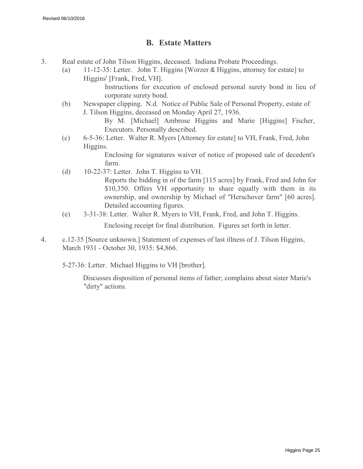#### **B. Estate Matters**

- 3. Real estate of John Tilson Higgins, deceased. Indiana Probate Proceedings.
	- (a) 11-12-35: Letter. John T. Higgins [Worzer & Higgins, attorney for estate] to Higgins' [Frank, Fred, VH].

Instructions for execution of enclosed personal surety bond in lieu of corporate surety bond.

(b) Newspaper clipping. N.d. Notice of Public Sale of Personal Property, estate of J. Tilson Higgins, deceased on Monday April 27, 1936.

By M. [Michael] Ambrose Higgins and Marie [Higgins] Fischer, Executors. Personally described.

(c) 6-5-36: Letter. Walter R. Myers [Attorney for estate] to VH, Frank, Fred, John Higgins.

> Enclosing for signatures waiver of notice of proposed sale of decedent's farm.

(d) 10-22-37: Letter. John T. Higgins to VH.

Reports the bidding in of the farm [115 acres] by Frank, Fred and John for \$10,350. Offers VH opportunity to share equally with them in its ownership, and ownership by Michael of "Herschover farm" [60 acres]. Detailed accounting figures.

(e) 3-31-38: Letter. Walter R. Myers to VH, Frank, Fred, and John T. Higgins.

Enclosing receipt for final distribution. Figures set forth in letter.

4. c.12-35 [Source unknown.] Statement of expenses of last illness of J. Tilson Higgins, March 1931 - October 30, 1935: \$4,866.

5-27-36: Letter. Michael Higgins to VH [brother].

Discusses disposition of personal items of father; complains about sister Marie's "dirty" actions.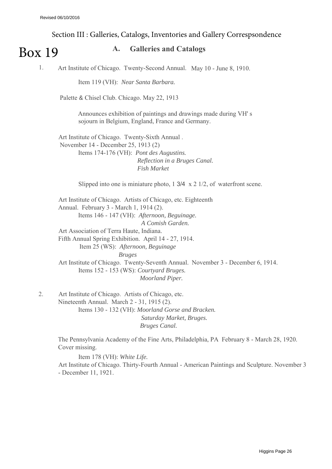#### Section III : Galleries, Catalogs, Inventories and Gallery Correspsondence

## Box 19

#### **A. Galleries and Catalogs**

1. Art Institute of Chicago. Twenty-Second Annual. May 10 - June 8, 1910.

Item 119 (VH): *Near Santa Barbara.*

Palette & Chisel Club. Chicago. May 22, 1913

Announces exhibition of paintings and drawings made during VH' s sojourn in Belgium, England, France and Germany.

Art Institute of Chicago. Twenty-Sixth Annual . November 14 - December 25, 1913 (2) Items 174-176 (VH): *Pont des Augustins. Reflection in a Bruges Canal. Fish Market*

Slipped into one is miniature photo, 1 3/4 x 2 1/2, of waterfront scene.

Art Institute of Chicago. Artists of Chicago, etc. Eighteenth Annual. February 3 - March 1, 1914 (2). Items 146 - 147 (VH): *Afternoon, Beguinage. A Comish Garden.* Art Association of Terra Haute, Indiana. Fifth Annual Spring Exhibition. April 14 - 27, 1914. Item 25 (WS): *Afternoon, Beguinage Bruges* Art Institute of Chicago. Twenty-Seventh Annual. November 3 - December 6, 1914. Items 152 - 153 (WS): *Courtyard Bruges. Moorland Piper.*

2. Art Institute of Chicago. Artists of Chicago, etc. Nineteenth Annual. March 2 - 31, 1915 (2). Items 130 - 132 (VH): *Moorland Gorse and Bracken. Saturday Market, Bruges. Bruges Canal.*

> The Pennsylvania Academy of the Fine Arts, Philadelphia, PA February 8 - March 28, 1920. Cover missing.

Item 178 (VH): *White Life.*

Art Institute of Chicago. Thirty-Fourth Annual - American Paintings and Sculpture. November 3 - December 11, 1921.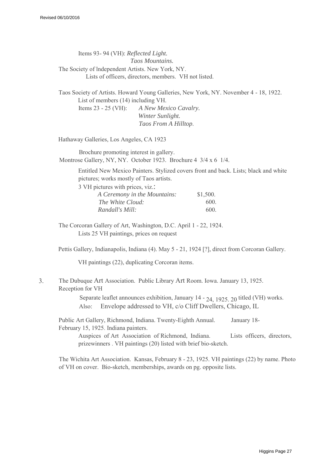Items 93- 94 (VH): *Reflected Light. Taos Mountains.* The Society of lndependent Artists. New York, NY. Lists of officers, directors, members. VH not listed.

Taos Society of Artists. Howard Young Galleries, New York, NY. November 4 - 18, 1922. List of members (14) including VH. Items 23 - 25 (VH): *A New Mexico Cavalry. Winter Sunlight. Taos From A Hilltop.*

Hathaway Galleries, Los Angeles, CA 1923

Brochure promoting interest in gallery. Montrose Gallery, NY, NY. October 1923. Brochure 4 3/4 x 6 1/4.

> Entitled New Mexico Painters. Stylized covers front and back. Lists; black and white pictures; works mostly of Taos artists.

3 VH pictures with prices, viz.:

| A Ceremony in the Mountains: | \$1,500. |
|------------------------------|----------|
| The White Cloud:             | 600.     |
| Randall's Mill:              | 600.     |

The Corcoran Gallery of Art, Washington, D.C. April 1 - 22, 1924. Lists 25 VH paintings, prices on request

Pettis Gallery, Indianapolis, Indiana (4). May 5 - 21, 1924 [?], direct from Corcoran Gallery.

VH paintings (22), duplicating Corcoran items.

#### 3. The Dubuque Art Association. Public Library Art Room. Iowa. January 13, 1925. Reception for VH

Separate leaflet announces exhibition, January 14 - 24, 1925, 20 titled (VH) works. Also: Envelope addressed to VH, c/o Cliff Dwellers, Chicago, IL

Public Art Gallery, Richmond, Indiana. Twenty-Eighth Annual. January 18- February 15, 1925. Indiana painters.

Auspices of Art Association of Richmond, Indiana. Lists officers, directors, prizewinners . VH paintings (20) listed with brief bio-sketch.

The Wichita Art Association. Kansas, February 8 - 23, 1925. VH paintings (22) by name. Photo of VH on cover. Bio-sketch, memberships, awards on pg. opposite lists.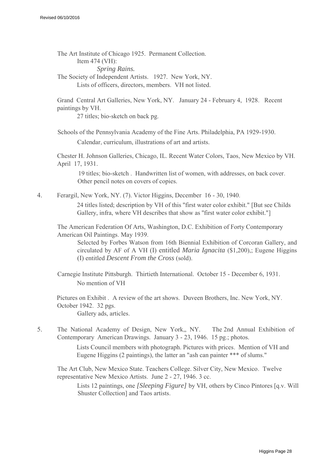The Art Institute of Chicago 1925. Permanent Collection. Item 474 (VH): *Spring Rains.* The Society of Independent Artists. 1927. New York, NY. Lists of officers, directors, members. VH not listed.

Grand Central Art Galleries, New York, NY. January 24 - February 4, 1928. Recent paintings by VH.

27 titles; bio-sketch on back pg.

Schools of the Pennsylvania Academy of the Fine Arts. Philadelphia, PA 1929-1930.

Calendar, curriculum, illustrations of art and artists.

Chester H. Johnson Galleries, Chicago, IL. Recent Water Colors, Taos, New Mexico by VH. April 17, 1931.

19 titles; bio-sketch . Handwritten list of women, with addresses, on back cover. Other pencil notes on covers of copies.

4. Ferargil, New York, NY. (7). Victor Higgins, December 16 - 30, 1940.

24 titles listed; description by VH of this ''first water color exhibit." [But see Childs Gallery, infra, where VH describes that show as "first water color exhibit."

The American Federation Of Arts, Washington, D.C. Exhibition of Forty Contemporary American Oil Paintings. May 1939.

Selected by Forbes Watson from 16th Biennial Exhibition of Corcoran Gallery, and circulated by AF of A VH (I) entitled *Maria Ignacita* (\$1,200),; Eugene Higgins (I) entitled *Descent From the Cross* (sold).

Carnegie Institute Pittsburgh. Thirtieth International. October 15 - December 6, 1931. No mention of VH

Pictures on Exhibit . A review of the art shows. Duveen Brothers, Inc. New York, NY. October 1942. 32 pgs. Gallery ads, articles.

5. The National Academy of Design, New York,, NY. The 2nd Annual Exhibition of Contemporary American Drawings. January 3 - 23, 1946. 15 pg.; photos.

> Lists Council members with photograph. Pictures with prices. Mention of VH and Eugene Higgins (2 paintings), the latter an "ash can painter \*\*\* of slums."

The Art Club, New Mexico State. Teachers College. Silver City, New Mexico. Twelve representative New Mexico Artists. June 2 - 27, 1946. 3 cc.

Lists 12 paintings, one *[Sleeping Figure]* by VH, others by Cinco Pintores [q.v. Will Shuster Collection] and Taos artists.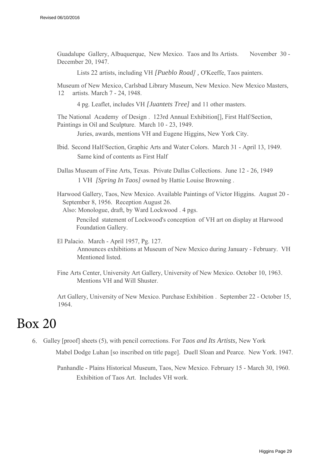Guadalupe Gallery, Albuquerque, New Mexico. Taos and Its Artists. November 30 - December 20, 1947.

Lists 22 artists, including VH *[Pueblo Road] ,* O'Keeffe, Taos painters.

Museum of New Mexico, Carlsbad Library Museum, New Mexico. New Mexico Masters, 12 artists. March 7 - 24, 1948.

4 pg. Leaflet, includes VH *[Juantets Tree]* and 11 other masters.

The National Academy of Design . 123rd Annual Exhibition[], First Half/Section, Paintings in Oil and Sculpture. March 10 - 23, 1949.

Juries, awards, mentions VH and Eugene Higgins, New York City.

Ibid. Second Half/Section, Graphic Arts and Water Colors. March 31 - April 13, 1949. Same kind of contents as First Half

Dallas Museum of Fine Arts, Texas. Private Dallas Collections. June 12 - 26, 1949 1 VH *[Spring In Taos]* owned by Hattie Louise Browning .

Harwood Gallery, Taos, New Mexico. Available Paintings of Victor Higgins. August 20 - September 8, 1956. Reception August 26.

Also: Monologue, draft, by Ward Lockwood . 4 pgs.

Penciled statement of Lockwood's conception of VH art on display at Harwood Foundation Gallery.

- El Palacio. March April 1957, Pg. 127. Announces exhibitions at Museum of New Mexico during January - February. VH Mentioned listed.
- Fine Arts Center, University Art Gallery, University of New Mexico. October 10, 1963. Mentions VH and Will Shuster.

Art Gallery, University of New Mexico. Purchase Exhibition . September 22 - October 15, 1964.

## Box 20

6. Galley [proof] sheets (5), with pencil corrections. For *Taos and Its Artists,* New York

Mabel Dodge Luhan [so inscribed on title page]. Duell Sloan and Pearce. New York. 1947.

Panhandle - Plains Historical Museum, Taos, New Mexico. February 15 - March 30, 1960. Exhibition of Taos Art. Includes VH work.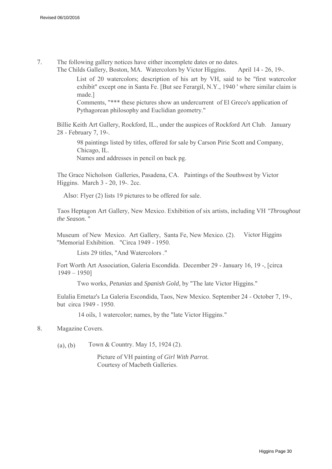7. The following gallery notices have either incomplete dates or no dates.

The Childs Gallery, Boston, MA. Watercolors by Victor Higgins. April 14 - 26, 19-.

List of 20 watercolors; description of his art by VH, said to be ''first watercolor exhibit" except one in Santa Fe. [But see Ferargil, N.Y., 1940 ' where similar claim is made.]

Comments, "\*\*\* these pictures show an undercurrent of El Greco's application of Pythagorean philosophy and Euclidian geometry."

Billie Keith Art Gallery, Rockford, IL., under the auspices of Rockford Art Club. January 28 - February 7, 19-.

98 paintings listed by titles, offered for sale by Carson Pirie Scott and Company, Chicago, IL. Names and addresses in pencil on back pg.

The Grace Nicholson Galleries, Pasadena, CA. Paintings of the Southwest by Victor Higgins. March 3 - 20, 19-. 2cc.

Also: Flyer (2) lists 19 pictures to be offered for sale.

Taos Heptagon Art Gallery, New Mexico. Exhibition of six artists, including VH *"Throughout the Season.* "

Museum of New Mexico. Art Gallery, Santa Fe, New Mexico. (2). Victor Higgins ''Memorial Exhibition. "Circa 1949 - 1950.

Lists 29 titles, "And Watercolors ."

Fort Worth Art Association, Galeria Escondida. December 29 - January 16, 19 -, [circa 1949 – 1950]

Two works, *Petunias* and *Spanish Gold,* by "The late Victor Higgins."

Eulalia Emetaz's La Galeria Escondida, Taos, New Mexico. September 24 - October 7, 19-, but circa 1949 - 1950.

14 oils, 1 watercolor; names, by the "late Victor Higgins."

#### 8. Magazine Covers.

(a), (b) Town & Country. May 15, 1924  $(2)$ .

Picture of VH painting of *Girl With Parrot.* Courtesy of Macbeth Galleries.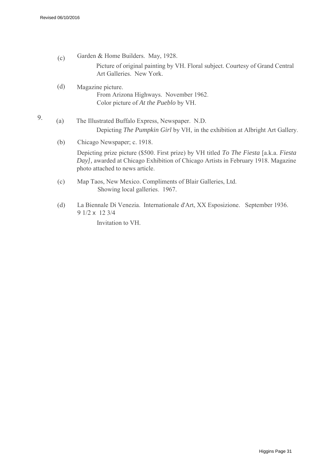- $(c)$ Garden & Home Builders. May, 1928. Picture of original painting by VH. Floral subject. Courtesy of Grand Central Art Galleries. New York.
- (d) Magazine picture. From Arizona Highways. November 1962. Color picture of *At the Pueblo* by VH.
- 9. (a) The Illustrated Buffalo Express, Newspaper. N.D. Depicting *The Pumpkin Girl* by VH, in the exhibition at Albright Art Gallery.
	- (b) Chicago Newspaper; c. 1918.

Depicting prize picture (\$500. First prize) by VH titled *To The Fiesta* [a.k.a. *Fiesta Day],* awarded at Chicago Exhibition of Chicago Artists in February 1918. Magazine photo attached to news article.

- (c) Map Taos, New Mexico. Compliments of Blair Galleries, Ltd. Showing local galleries. 1967.
- (d) La Biennale Di Venezia. Internationale d'Art, XX Esposizione. September 1936. 9 1/2 x 12 3/4

Invitation to VH.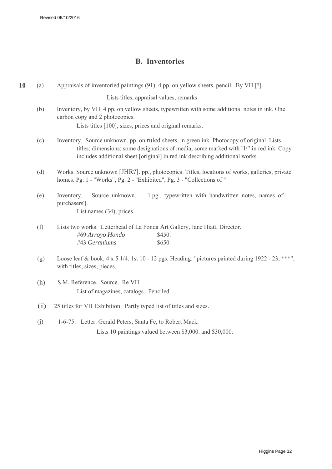#### **B. Inventories**

| 10 | (a)                                                                                                                                                                                                                                                                        | Appraisals of inventoried paintings (91). 4 pp. on yellow sheets, pencil. By VH [?].                                                                                                      |  |
|----|----------------------------------------------------------------------------------------------------------------------------------------------------------------------------------------------------------------------------------------------------------------------------|-------------------------------------------------------------------------------------------------------------------------------------------------------------------------------------------|--|
|    |                                                                                                                                                                                                                                                                            | Lists titles, appraisal values, remarks.                                                                                                                                                  |  |
|    | (b)                                                                                                                                                                                                                                                                        | Inventory, by VH. 4 pp. on yellow sheets, typewritten with some additional notes in ink. One<br>carbon copy and 2 photocopies.<br>Lists titles [100], sizes, prices and original remarks. |  |
|    | (c)<br>Inventory. Source unknown, pp. on ruled sheets, in green ink. Photocopy of original. Lists<br>titles; dimensions; some designations of media; some marked with "F" in red ink. Copy<br>includes additional sheet [original] in red ink describing additional works. |                                                                                                                                                                                           |  |
|    | (d)                                                                                                                                                                                                                                                                        | Works. Source unknown [JHR?]. pp., photocopies. Titles, locations of works, galleries, private<br>homes. Pg. 1 - "Works", Pg. 2 - "Exhibited", Pg. 3 - "Collections of "                  |  |
|    | (e)                                                                                                                                                                                                                                                                        | Source unknown.<br>1 pg., typewritten with handwritten notes, names of<br>Inventory.<br>purchasers'].<br>List names (34), prices.                                                         |  |
|    | (f)                                                                                                                                                                                                                                                                        | Lists two works. Letterhead of La Fonda Art Gallery, Jane Hiatt, Director.<br>#69 Arroyo Hondo<br>\$450.<br>#43 Geraniums<br>\$650.                                                       |  |
|    | (g)                                                                                                                                                                                                                                                                        | Loose leaf & book, $4 \times 5$ 1/4. 1st 10 - 12 pgs. Heading: "pictures painted during 1922 - 23, ***";<br>with titles, sizes, pieces.                                                   |  |
|    | (h)                                                                                                                                                                                                                                                                        | S.M. Reference. Source. Re VH.<br>List of magazines, catalogs. Penciled.                                                                                                                  |  |
|    | (i)                                                                                                                                                                                                                                                                        | 25 titles for VH Exhibition. Partly typed list of titles and sizes.                                                                                                                       |  |
|    | (j)                                                                                                                                                                                                                                                                        | 1-6-75: Letter. Gerald Peters, Santa Fe, to Robert Mack.<br>Lists 10 paintings valued between \$3,000. and \$30,000.                                                                      |  |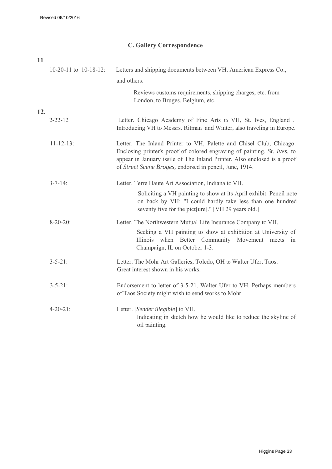#### **C. Gallery Correspondence**

| 11  |                            |                                                                                                                                                                                                                                                                                        |
|-----|----------------------------|----------------------------------------------------------------------------------------------------------------------------------------------------------------------------------------------------------------------------------------------------------------------------------------|
|     | $10-20-11$ to $10-18-12$ : | Letters and shipping documents between VH, American Express Co.,                                                                                                                                                                                                                       |
|     |                            | and others.                                                                                                                                                                                                                                                                            |
|     |                            | Reviews customs requirements, shipping charges, etc. from<br>London, to Bruges, Belgium, etc.                                                                                                                                                                                          |
| 12. |                            |                                                                                                                                                                                                                                                                                        |
|     | $2 - 22 - 12$              | Letter. Chicago Academy of Fine Arts to VH, St. Ives, England.<br>Introducing VH to Messrs. Ritman and Winter, also traveling in Europe.                                                                                                                                               |
|     | $11 - 12 - 13$ :           | Letter. The Inland Printer to VH, Palette and Chisel Club, Chicago.<br>Enclosing printer's proof of colored engraving of painting, St. Ives, to<br>appear in January issile of The Inland Printer. Also enclosed is a proof<br>of Street Scene Broges, endorsed in pencil, June, 1914. |
|     | $3 - 7 - 14$ :             | Letter. Terre Haute Art Association, Indiana to VH.                                                                                                                                                                                                                                    |
|     |                            | Soliciting a VH painting to show at its April exhibit. Pencil note<br>on back by VH: "I could hardly take less than one hundred<br>seventy five for the pict [ure]." [VH 29 years old.]                                                                                                |
|     | $8 - 20 - 20$ :            | Letter. The Northwestern Mutual Life Insurance Company to VH.<br>Seeking a VH painting to show at exhibition at University of<br>Illinois when Better Community Movement<br>meets<br>in<br>Champaign, IL on October 1-3.                                                               |
|     | $3 - 5 - 21$ :             | Letter. The Mohr Art Galleries, Toledo, OH to Walter Ufer, Taos.<br>Great interest shown in his works.                                                                                                                                                                                 |
|     | $3 - 5 - 21$ :             | Endorsement to letter of 3-5-21. Walter Ufer to VH. Perhaps members<br>of Taos Society might wish to send works to Mohr.                                                                                                                                                               |
|     | $4 - 20 - 21$ :            | Letter. [Sender illegible] to VH.<br>Indicating in sketch how he would like to reduce the skyline of<br>oil painting.                                                                                                                                                                  |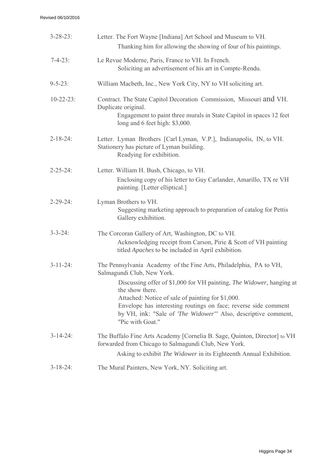| $3 - 28 - 23$ :  | Letter. The Fort Wayne [Indiana] Art School and Museum to VH.<br>Thanking him for allowing the showing of four of his paintings.                                                                                                                                                                            |
|------------------|-------------------------------------------------------------------------------------------------------------------------------------------------------------------------------------------------------------------------------------------------------------------------------------------------------------|
| $7 - 4 - 23$ :   | Le Revue Moderne, Paris, France to VH. In French.<br>Soliciting an advertisement of his art in Compte-Rendu.                                                                                                                                                                                                |
| $9 - 5 - 23$ :   | William Macbeth, Inc., New York City, NY to VH soliciting art.                                                                                                                                                                                                                                              |
| $10 - 22 - 23$ : | Contract. The State Capitol Decoration Commission, Missouri and VH.<br>Duplicate original.<br>Engagement to paint three murals in State Capitol in spaces 12 feet<br>long and 6 feet high: \$3,000.                                                                                                         |
| $2 - 18 - 24$ :  | Letter. Lyman Brothers [Carl Lyman, V.P.], Indianapolis, IN, to VH.<br>Stationery has picture of Lyman building.<br>Readying for exhibition.                                                                                                                                                                |
| $2 - 25 - 24$ :  | Letter. William H. Bush, Chicago, to VH.<br>Enclosing copy of his letter to Guy Carlander, Amarillo, TX re VH<br>painting. [Letter elliptical.]                                                                                                                                                             |
| $2 - 29 - 24$ :  | Lyman Brothers to VH.<br>Suggesting marketing approach to preparation of catalog for Pettis<br>Gallery exhibition.                                                                                                                                                                                          |
| $3 - 3 - 24$ :   | The Corcoran Gallery of Art, Washington, DC to VH.<br>Acknowledging receipt from Carson, Pirie & Scott of VH painting<br>titled <i>Apaches</i> to be included in April exhibition.                                                                                                                          |
| $3 - 11 - 24$ :  | The Pennsylvania Academy of the Fine Arts, Philadelphia, PA to VH,<br>Salmagundi Club, New York.                                                                                                                                                                                                            |
|                  | Discussing offer of \$1,000 for VH painting, The Widower, hanging at<br>the show there.<br>Attached: Notice of sale of painting for \$1,000.<br>Envelope has interesting routings on face; reverse side comment<br>by VH, ink: "Sale of <i>The Widower"'</i> Also, descriptive comment,<br>"Pic with Goat." |
| $3 - 14 - 24$ :  | The Buffalo Fine Arts Academy [Cornelia B. Sage, Quinton, Director] to VH<br>forwarded from Chicago to Salmagundi Club, New York.<br>Asking to exhibit <i>The Widower</i> in its Eighteenth Annual Exhibition.                                                                                              |
| $3 - 18 - 24$ :  | The Mural Painters, New York, NY. Soliciting art.                                                                                                                                                                                                                                                           |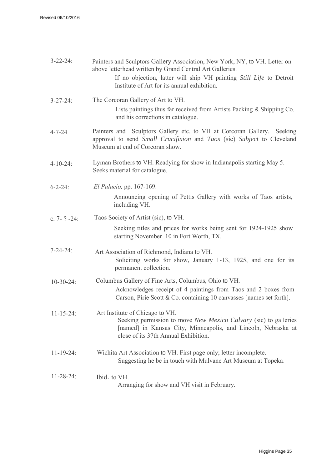| $3 - 22 - 24$     | Painters and Sculptors Gallery Association, New York, NY, to VH. Letter on<br>above letterhead written by Grand Central Art Galleries.<br>If no objection, latter will ship VH painting Still Life to Detroit<br>Institute of Art for its annual exhibition. |
|-------------------|--------------------------------------------------------------------------------------------------------------------------------------------------------------------------------------------------------------------------------------------------------------|
| $3 - 27 - 24$ :   | The Corcoran Gallery of Art to VH.<br>Lists paintings thus far received from Artists Packing & Shipping Co.<br>and his corrections in catalogue.                                                                                                             |
| $4 - 7 - 24$      | Painters and Sculptors Gallery etc. to VH at Corcoran Gallery. Seeking<br>approval to send Small Crucifixion and Taos (sic) Subject to Cleveland<br>Museum at end of Corcoran show.                                                                          |
| $4 - 10 - 24$ :   | Lyman Brothers to VH. Readying for show in Indianapolis starting May 5.<br>Seeks material for catalogue.                                                                                                                                                     |
| $6 - 2 - 24$ :    | El Palacio, pp. 167-169.<br>Announcing opening of Pettis Gallery with works of Taos artists,<br>including VH.                                                                                                                                                |
| c. $7 - ? - 24$ : | Taos Society of Artist (sic), to VH.<br>Seeking titles and prices for works being sent for 1924-1925 show<br>starting November 10 in Fort Worth, TX.                                                                                                         |
| $7 - 24 - 24$ :   | Art Association of Richmond, Indiana to VH.<br>Soliciting works for show, January 1-13, 1925, and one for its<br>permanent collection.                                                                                                                       |
| $10-30-24$ :      | Columbus Gallery of Fine Arts, Columbus, Ohio to VH.<br>Acknowledges receipt of 4 paintings from Taos and 2 boxes from<br>Carson, Pirie Scott & Co. containing 10 canvasses [names set forth].                                                               |
| $11 - 15 - 24$ :  | Art Institute of Chicago to VH.<br>Seeking permission to move <i>New Mexico Calvary</i> (sic) to galleries<br>[named] in Kansas City, Minneapolis, and Lincoln, Nebraska at<br>close of its 37th Annual Exhibition.                                          |
| $11 - 19 - 24$ :  | Wichita Art Association to VH. First page only; letter incomplete.<br>Suggesting he be in touch with Mulvane Art Museum at Topeka.                                                                                                                           |
| $11 - 28 - 24$ :  | Ibid. to VH.<br>Arranging for show and VH visit in February.                                                                                                                                                                                                 |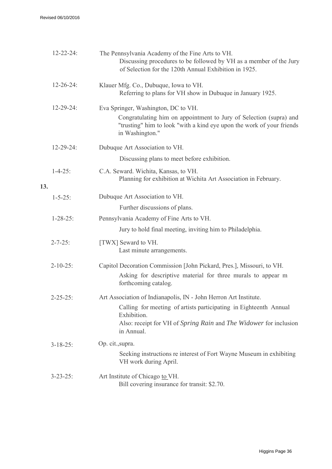|     | $12 - 22 - 24$ : | The Pennsylvania Academy of the Fine Arts to VH.<br>Discussing procedures to be followed by VH as a member of the Jury<br>of Selection for the 120th Annual Exhibition in 1925.                                                         |
|-----|------------------|-----------------------------------------------------------------------------------------------------------------------------------------------------------------------------------------------------------------------------------------|
|     | $12 - 26 - 24$ : | Klauer Mfg. Co., Dubuque, Iowa to VH.<br>Referring to plans for VH show in Dubuque in January 1925.                                                                                                                                     |
|     | $12 - 29 - 24$ : | Eva Springer, Washington, DC to VH.<br>Congratulating him on appointment to Jury of Selection (supra) and<br>"trusting" him to look "with a kind eye upon the work of your friends<br>in Washington."                                   |
|     | $12 - 29 - 24$ : | Dubuque Art Association to VH.                                                                                                                                                                                                          |
|     |                  | Discussing plans to meet before exhibition.                                                                                                                                                                                             |
| 13. | $1 - 4 - 25$ :   | C.A. Seward. Wichita, Kansas, to VH.<br>Planning for exhibition at Wichita Art Association in February.                                                                                                                                 |
|     | $1 - 5 - 25$ :   | Dubuque Art Association to VH.                                                                                                                                                                                                          |
|     |                  | Further discussions of plans.                                                                                                                                                                                                           |
|     | $1 - 28 - 25$ :  | Pennsylvania Academy of Fine Arts to VH.                                                                                                                                                                                                |
|     |                  | Jury to hold final meeting, inviting him to Philadelphia.                                                                                                                                                                               |
|     | $2 - 7 - 25$ :   | [TWX] Seward to VH.<br>Last minute arrangements.                                                                                                                                                                                        |
|     | $2 - 10 - 25$ :  | Capitol Decoration Commission [John Pickard, Pres.], Missouri, to VH.<br>Asking for descriptive material for three murals to appear m<br>forthcoming catalog.                                                                           |
|     | $2 - 25 - 25$ :  | Art Association of Indianapolis, IN - John Herron Art Institute.<br>Calling for meeting of artists participating in Eighteenth Annual<br>Exhibition.<br>Also: receipt for VH of Spring Rain and The Widower for inclusion<br>in Annual. |
|     | $3 - 18 - 25$ :  | Op. cit., supra.                                                                                                                                                                                                                        |
|     |                  | Seeking instructions re interest of Fort Wayne Museum in exhibiting<br>VH work during April.                                                                                                                                            |
|     | $3 - 23 - 25$ :  | Art Institute of Chicago to VH.<br>Bill covering insurance for transit: \$2.70.                                                                                                                                                         |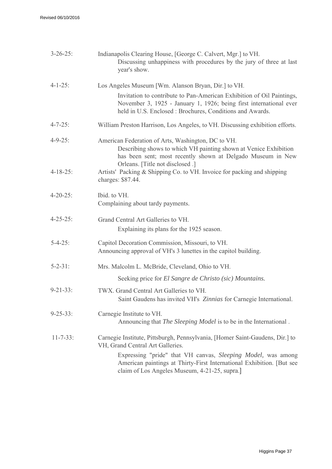| $3 - 26 - 25$ : | Indianapolis Clearing House, [George C. Calvert, Mgr.] to VH.<br>Discussing unhappiness with procedures by the jury of three at last<br>year's show.                                                                                                                                                       |
|-----------------|------------------------------------------------------------------------------------------------------------------------------------------------------------------------------------------------------------------------------------------------------------------------------------------------------------|
| $4 - 1 - 25$ :  | Los Angeles Museum [Wm. Alanson Bryan, Dir.] to VH.                                                                                                                                                                                                                                                        |
|                 | Invitation to contribute to Pan-American Exhibition of Oil Paintings,<br>November 3, 1925 - January 1, 1926; being first international ever<br>held in U.S. Enclosed: Brochures, Conditions and Awards.                                                                                                    |
| $4 - 7 - 25$ :  | William Preston Harrison, Los Angeles, to VH. Discussing exhibition efforts.                                                                                                                                                                                                                               |
| $4 - 9 - 25$ :  | American Federation of Arts, Washington, DC to VH.<br>Describing shows to which VH painting shown at Venice Exhibition<br>has been sent; most recently shown at Delgado Museum in New<br>Orleans. [Title not disclosed .]                                                                                  |
| $4 - 18 - 25$ : | Artists' Packing & Shipping Co. to VH. Invoice for packing and shipping<br>charges: \$87.44.                                                                                                                                                                                                               |
| $4 - 20 - 25$ : | Ibid. to VH.<br>Complaining about tardy payments.                                                                                                                                                                                                                                                          |
| $4 - 25 - 25$ : | Grand Central Art Galleries to VH.<br>Explaining its plans for the 1925 season.                                                                                                                                                                                                                            |
| $5 - 4 - 25$ :  | Capitol Decoration Commission, Missouri, to VH.<br>Announcing approval of VH's 3 lunettes in the capitol building.                                                                                                                                                                                         |
| $5 - 2 - 31$ :  | Mrs. Malcolm L. McBride, Cleveland, Ohio to VH.                                                                                                                                                                                                                                                            |
|                 | Seeking price for El Sangre de Christo (sic) Mountains.                                                                                                                                                                                                                                                    |
| $9 - 21 - 33$ : | TWX. Grand Central Art Galleries to VH.<br>Saint Gaudens has invited VH's Zinnias for Carnegie International.                                                                                                                                                                                              |
| $9 - 25 - 33$ : | Carnegie Institute to VH.<br>Announcing that <i>The Sleeping Model</i> is to be in the International.                                                                                                                                                                                                      |
| $11 - 7 - 33$ : | Carnegie Institute, Pittsburgh, Pennsylvania, [Homer Saint-Gaudens, Dir.] to<br>VH, Grand Central Art Galleries.<br>Expressing "pride" that VH canvas, Sleeping Model, was among<br>American paintings at Thirty-First International Exhibition. [But see<br>claim of Los Angeles Museum, 4-21-25, supra.] |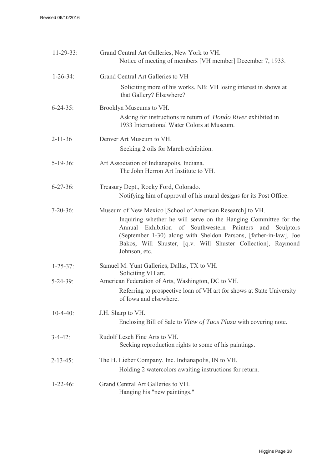| $11-29-33$ :    | Grand Central Art Galleries, New York to VH.<br>Notice of meeting of members [VH member] December 7, 1933.                                                                                                                                                                                                                                            |
|-----------------|-------------------------------------------------------------------------------------------------------------------------------------------------------------------------------------------------------------------------------------------------------------------------------------------------------------------------------------------------------|
| $1 - 26 - 34$ : | Grand Central Art Galleries to VH                                                                                                                                                                                                                                                                                                                     |
|                 | Soliciting more of his works. NB: VH losing interest in shows at<br>that Gallery? Elsewhere?                                                                                                                                                                                                                                                          |
| $6 - 24 - 35$ : | Brooklyn Museums to VH.<br>Asking for instructions re return of <i>Hondo River</i> exhibited in<br>1933 International Water Colors at Museum.                                                                                                                                                                                                         |
| $2 - 11 - 36$   | Denver Art Museum to VH.<br>Seeking 2 oils for March exhibition.                                                                                                                                                                                                                                                                                      |
| $5-19-36$ :     | Art Association of Indianapolis, Indiana.<br>The John Herron Art Institute to VH.                                                                                                                                                                                                                                                                     |
| $6 - 27 - 36$   | Treasury Dept., Rocky Ford, Colorado.<br>Notifying him of approval of his mural designs for its Post Office.                                                                                                                                                                                                                                          |
| $7 - 20 - 36$ : | Museum of New Mexico [School of American Research] to VH.<br>Inquiring whether he will serve on the Hanging Committee for the<br>Annual Exhibition of Southwestern Painters<br>and<br>Sculptors<br>(September 1-30) along with Sheldon Parsons, [father-in-law], Joe<br>Bakos, Will Shuster, [q.v. Will Shuster Collection], Raymond<br>Johnson, etc. |
| $1 - 25 - 37$ : | Samuel M. Yunt Galleries, Dallas, TX to VH.<br>Soliciting VH art.                                                                                                                                                                                                                                                                                     |
| $5 - 24 - 39$ : | American Federation of Arts, Washington, DC to VH.<br>Referring to prospective loan of VH art for shows at State University<br>of Iowa and elsewhere.                                                                                                                                                                                                 |
| $10-4-40$ :     | J.H. Sharp to VH.<br>Enclosing Bill of Sale to View of Taos Plaza with covering note.                                                                                                                                                                                                                                                                 |
| $3 - 4 - 42$ :  | Rudolf Lesch Fine Arts to VH.<br>Seeking reproduction rights to some of his paintings.                                                                                                                                                                                                                                                                |
| $2 - 13 - 45$ : | The H. Lieber Company, Inc. Indianapolis, IN to VH.<br>Holding 2 watercolors awaiting instructions for return.                                                                                                                                                                                                                                        |
| $1 - 22 - 46$ : | Grand Central Art Galleries to VH.<br>Hanging his "new paintings."                                                                                                                                                                                                                                                                                    |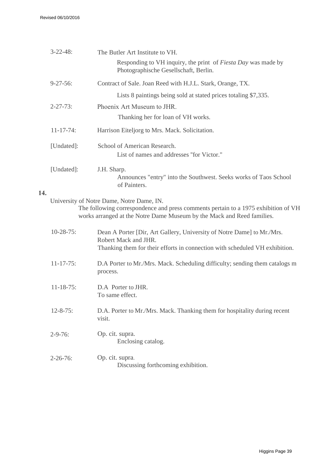|     | $3 - 22 - 48$ :                                                    | The Butler Art Institute to VH.                                                                                                                                                                           |
|-----|--------------------------------------------------------------------|-----------------------------------------------------------------------------------------------------------------------------------------------------------------------------------------------------------|
|     |                                                                    | Responding to VH inquiry, the print of Fiesta Day was made by<br>Photographische Gesellschaft, Berlin.                                                                                                    |
|     | $9 - 27 - 56$ :                                                    | Contract of Sale. Joan Reed with H.J.L. Stark, Orange, TX.                                                                                                                                                |
|     |                                                                    | Lists 8 paintings being sold at stated prices totaling \$7,335.                                                                                                                                           |
|     | $2 - 27 - 73$ :                                                    | Phoenix Art Museum to JHR.                                                                                                                                                                                |
|     |                                                                    | Thanking her for loan of VH works.                                                                                                                                                                        |
|     | $11 - 17 - 74$ :<br>Harrison Eiteljorg to Mrs. Mack. Solicitation. |                                                                                                                                                                                                           |
|     | [Undated]:                                                         | School of American Research.<br>List of names and addresses "for Victor."                                                                                                                                 |
|     | [Undated]:                                                         | J.H. Sharp.<br>Announces "entry" into the Southwest. Seeks works of Taos School<br>of Painters.                                                                                                           |
| 14. |                                                                    |                                                                                                                                                                                                           |
|     |                                                                    | University of Notre Dame, Notre Dame, IN.<br>The following correspondence and press comments pertain to a 1975 exhibition of VH<br>works arranged at the Notre Dame Museum by the Mack and Reed families. |
|     | $10-28-75$ :                                                       | Dean A Porter [Dir, Art Gallery, University of Notre Dame] to Mr./Mrs.<br>Robert Mack and JHR.                                                                                                            |
|     |                                                                    | Thanking them for their efforts in connection with scheduled VH exhibition.                                                                                                                               |
|     | $11-17-75$ :                                                       | D.A Porter to Mr./Mrs. Mack. Scheduling difficulty; sending them catalogs m<br>process.                                                                                                                   |
|     | $11 - 18 - 75$ :                                                   | D.A Porter to JHR.<br>To same effect.                                                                                                                                                                     |
|     | $12 - 8 - 75$ :                                                    | D.A. Porter to Mr./Mrs. Mack. Thanking them for hospitality during recent<br>visit.                                                                                                                       |
|     | $2 - 9 - 76$ :                                                     | Op. cit. supra.<br>Enclosing catalog.                                                                                                                                                                     |
|     | $2 - 26 - 76$ :                                                    | Op. cit. supra.<br>Discussing forthcoming exhibition.                                                                                                                                                     |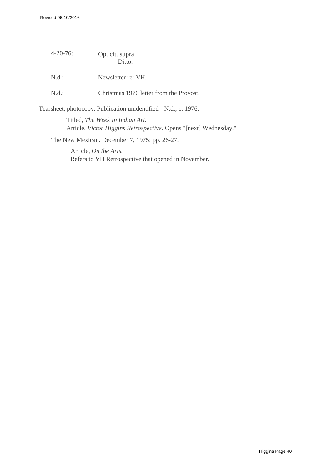| $4 - 20 - 76$ | Op. cit. supra<br>Ditto.                                        |
|---------------|-----------------------------------------------------------------|
| N.d.:         | Newsletter re: VH.                                              |
| N.d.:         | Christmas 1976 letter from the Provost.                         |
|               | Tearsheet, photocopy. Publication unidentified - N.d.; c. 1976. |

Titled, *The Week In Indian Art.* Article, *Victor Higgins Retrospective.* Opens "[next] Wednesday."

The New Mexican. December 7, 1975; pp. 26-27.

Article, *On the Arts.* Refers to VH Retrospective that opened in November.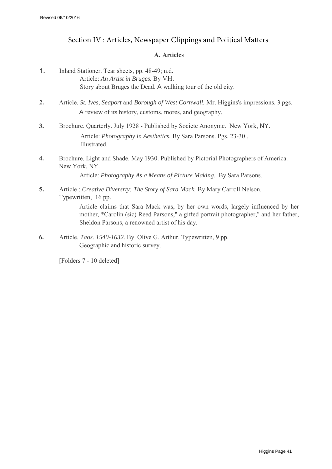#### Section IV : Articles, Newspaper Clippings and Political Matters

#### **A. Articles**

- **1.** Inland Stationer. Tear sheets, pp. 48-49; n.d. Article: *An Artist in Bruges.* By VH. Story about Bruges the Dead. A walking tour of the old city.
- **2.** Article. *St. Ives, Seaport* and *Borough of West Cornwall.* Mr. Higgins's impressions. 3 pgs. A review of its history, customs, mores, and geography.
- **3.** Brochure. Quarterly. July 1928 Published by Societe Anonyme. New York, NY. Article: *Photography in Aesthetics.* By Sara Parsons. Pgs. 23-30 . Illustrated.
- **4.** Brochure. Light and Shade. May 1930. Published by Pictorial Photographers of America. New York, NY.

Article: *Photography As a Means of Picture Making.* By Sara Parsons.

**5.** Article : *Creative Diversrty: The Story of Sara Mack.* By Mary Carroll Nelson. Typewritten, 16 pp.

> Article claims that Sara Mack was, by her own words, largely influenced by her mother, \*Carolin (sic) Reed Parsons," a gifted portrait photographer," and her father, Sheldon Parsons, a renowned artist of his day.

**6.** Article. *Taos. 1540-1632.* By Olive G. Arthur. Typewritten, 9 pp. Geographic and historic survey.

[Folders 7 - 10 deleted]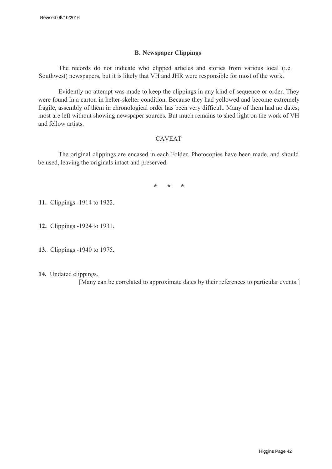#### **B. Newspaper Clippings**

The records do not indicate who clipped articles and stories from various local (i.e. Southwest) newspapers, but it is likely that VH and JHR were responsible for most of the work.

Evidently no attempt was made to keep the clippings in any kind of sequence or order. They were found in a carton in helter-skelter condition. Because they had yellowed and become extremely fragile, assembly of them in chronological order has been very difficult. Many of them had no dates; most are left without showing newspaper sources. But much remains to shed light on the work of VH and fellow artists.

#### CAVEAT

The original clippings are encased in each Folder. Photocopies have been made, and should be used, leaving the originals intact and preserved.

\* \* \*

**11.** Clippings -1914 to 1922.

- **12.** Clippings -1924 to 1931.
- **13.** Clippings -1940 to 1975.
- **14.** Undated clippings.

[Many can be correlated to approximate dates by their references to particular events.]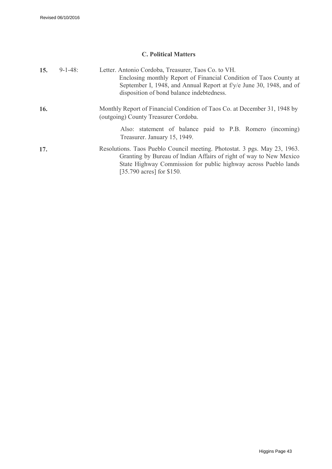#### **C. Political Matters**

| 15.        | $9 - 1 - 48$ : | Letter. Antonio Cordoba, Treasurer, Taos Co. to VH.<br>Enclosing monthly Report of Financial Condition of Taos County at<br>September I, 1948, and Annual Report at f/y/e June 30, 1948, and of<br>disposition of bond balance indebtedness.    |
|------------|----------------|-------------------------------------------------------------------------------------------------------------------------------------------------------------------------------------------------------------------------------------------------|
| <b>16.</b> |                | Monthly Report of Financial Condition of Taos Co. at December 31, 1948 by<br>(outgoing) County Treasurer Cordoba.                                                                                                                               |
|            |                | Also: statement of balance paid to P.B. Romero (incoming)<br>Treasurer. January 15, 1949.                                                                                                                                                       |
| 17.        |                | Resolutions. Taos Pueblo Council meeting. Photostat. 3 pgs. May 23, 1963.<br>Granting by Bureau of Indian Affairs of right of way to New Mexico<br>State Highway Commission for public highway across Pueblo lands<br>[35.790 acres] for \$150. |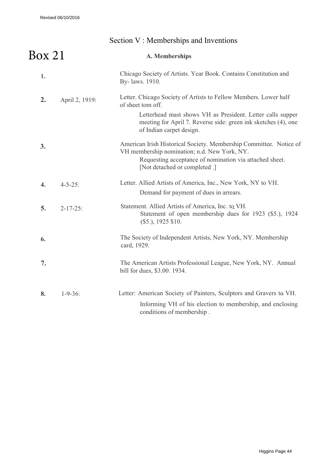Revised 06/10/2016

## Section V : Memberships and Inventions

| Box~21           |                 | A. Memberships                                                                                                                                                                                                                                    |
|------------------|-----------------|---------------------------------------------------------------------------------------------------------------------------------------------------------------------------------------------------------------------------------------------------|
| 1.               |                 | Chicago Society of Artists. Year Book. Contains Constitution and<br>By-laws. 1910.                                                                                                                                                                |
| 2.               | April 2, 1919:  | Letter. Chicago Society of Artists to Fellow Members. Lower half<br>of sheet tom off.<br>Letterhead mast shows VH as President. Letter calls supper<br>meeting for April 7. Reverse side: green ink sketches (4), one<br>of Indian carpet design. |
| 3.               |                 | American Irish Historical Society. Membership Committee. Notice of<br>VH membership nomination; n.d. New York, NY.<br>Requesting acceptance of nomination via attached sheet.<br>[Not detached or completed .]                                    |
| $\overline{4}$ . | $4 - 5 - 25$ :  | Letter. Allied Artists of America, Inc., New York, NY to VH.<br>Demand for payment of dues in arrears.                                                                                                                                            |
| 5.               | $2 - 17 - 25$ : | Statement. Allied Artists of America, Inc. to VH.<br>Statement of open membership dues for 1923 (\$5.), 1924<br>$($5.)$ , 1925 \$10.                                                                                                              |
| 6.               |                 | The Society of Independent Artists, New York, NY. Membership<br>card, 1929.                                                                                                                                                                       |
| 7.               |                 | The American Artists Professional League, New York, NY. Annual<br>bill for dues, \$3.00. 1934.                                                                                                                                                    |
| 8.               | $1 - 9 - 36$ :  | Letter: American Society of Painters, Sculptors and Gravers to VH.<br>Informing VH of his election to membership, and enclosing<br>conditions of membership.                                                                                      |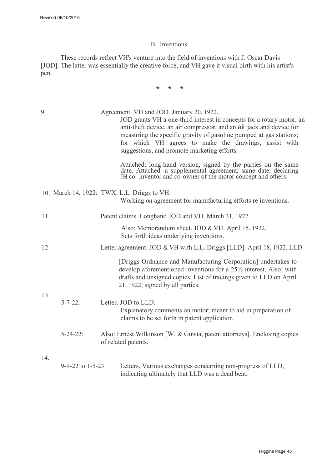#### B. Inventions

These records reflect VH's venture into the field of inventions with J. Oscar Davis [JOD]. The latter was essentially the creative force, and VH gave it visual birth with his artist's pen.

\* \* \*

| 9.  |                                | Agreement. VH and JOD. January 20, 1922.<br>JOD grants VH a one-third interest in concepts for a rotary motor, an<br>anti-theft device, an air compressor, and an air jack and device for<br>measuring the specific gravity of gasoline pumped at gas stations;<br>for which VH agrees to make the drawings, assist with<br>suggestions, and promote marketing efforts. |
|-----|--------------------------------|-------------------------------------------------------------------------------------------------------------------------------------------------------------------------------------------------------------------------------------------------------------------------------------------------------------------------------------------------------------------------|
|     |                                | Attached: long-hand version, signed by the parties on the same date. Attached: a supplemental agreement, same date, declaring JH co- inventor and co-owner of the motor concept and others.                                                                                                                                                                             |
|     |                                | 10. March 14, 1922: TWX. L.L. Driggs to VH.<br>Working on agreement for manufacturing efforts re inventions.                                                                                                                                                                                                                                                            |
| 11. |                                | Patent claims. Longhand JOD and VH. March 31, 1922.                                                                                                                                                                                                                                                                                                                     |
|     |                                | Also: Memorandum sheet. JOD & VH. April 15, 1922.<br>Sets forth ideas underlying inventions.                                                                                                                                                                                                                                                                            |
| 12. |                                | Letter agreement. JOD & VH with L.L. Driggs [LLD]. April 18, 1922. LLD                                                                                                                                                                                                                                                                                                  |
|     |                                | [Driggs Ordnance and Manufacturing Corporation] undertakes to<br>develop aforementioned inventions for a 25% interest. Also: with<br>drafts and unsigned copies. List of tracings given to LLD on April<br>21, 1922; signed by all parties.                                                                                                                             |
| 13. | $5 - 7 - 22$ :                 | Letter. JOD to LLD.<br>Explanatory comments on motor; meant to aid in preparation of<br>claims to be set forth in patent application.                                                                                                                                                                                                                                   |
|     | $5 - 24 - 22$ :                | Also: Ernest Wilkinson [W. & Guista, patent attorneys]. Enclosing copies<br>of related patents.                                                                                                                                                                                                                                                                         |
| 14. | $9 - 9 - 22$ to $1 - 5 - 23$ : | Letters. Various exchanges concerning non-progress of LLD,<br>indicating ultimately that LLD was a dead beat.                                                                                                                                                                                                                                                           |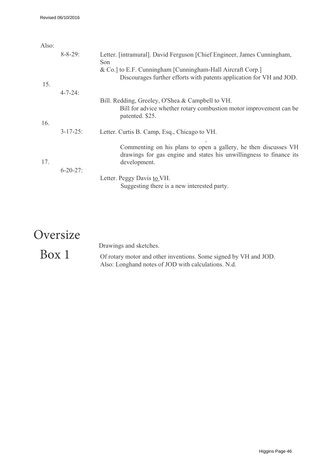| Also: |                 |                                                                                                                                                        |
|-------|-----------------|--------------------------------------------------------------------------------------------------------------------------------------------------------|
|       | $8 - 8 - 29$ :  | Letter. [intramural]. David Ferguson [Chief Engineer, James Cunningham,<br>Son                                                                         |
| 15.   |                 | & Co.] to E.F. Cunningham [Cunningham-Hall Aircraft Corp.]<br>Discourages further efforts with patents application for VH and JOD.                     |
|       | $4 - 7 - 24$ :  |                                                                                                                                                        |
|       |                 | Bill. Redding, Greeley, O'Shea & Campbell to VH.<br>Bill for advice whether rotary combustion motor improvement can be<br>patented. \$25.              |
| 16.   |                 |                                                                                                                                                        |
|       | $3 - 17 - 25$ : | Letter. Curtis B. Camp, Esq., Chicago to VH.                                                                                                           |
| 17.   | $6 - 20 - 27$ : | Commenting on his plans to open a gallery, he then discusses VH<br>drawings for gas engine and states his unwillingness to finance its<br>development. |
|       |                 | Letter. Peggy Davis to VH.<br>Suggesting there is a new interested party.                                                                              |

## **Oversize**

## Box 1

Drawings and sketches.

Of rotary motor and other inventions. Some signed by VH and JOD. Also: Longhand notes of JOD with calculations. N.d.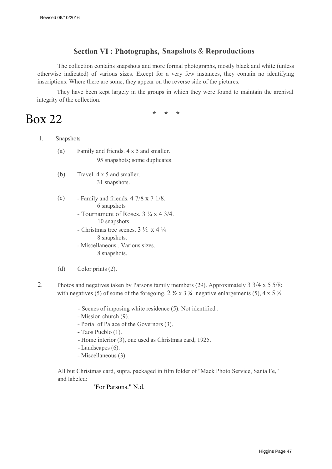#### **Section VI : Photographs, Snapshots** & **Reproductions**

The collection contains snapshots and more formal photographs, mostly black and white (unless otherwise indicated) of various sizes. Except for a very few instances, they contain no identifying inscriptions. Where there are some, they appear on the reverse side of the pictures.

They have been kept largely in the groups in which they were found to maintain the archival integrity of the collection.

\* \* \*

## Box 22

- 1. Snapshots
	- (a) Family and friends. 4 x 5 and smaller. 95 snapshots; some duplicates.
	- (b) Travel. 4 x 5 and smaller. 31 snapshots.
	- (c) Family and friends.  $4 \frac{7}{8} \times 7 \frac{1}{8}$ . 6 snapshots
		- Tournament of Roses.  $3\frac{1}{4} \times 4 \frac{3}{4}$ . 10 snapshots.
		- Christmas tree scenes.  $3\frac{1}{2} \times 4\frac{1}{4}$ 8 snapshots.
		- Miscellaneous . Various sizes. 8 snapshots.
	- (d) Color prints (2).
- 2. Photos and negatives taken by Parsons family members (29). Approximately 3 3/4 x 5 5/8; with negatives (5) of some of the foregoing.  $2 \frac{1}{2} \times 3 \frac{1}{4}$  negative enlargements (5), 4 x 5  $\frac{1}{2}$ 
	- Scenes of imposing white residence (5). Not identified .
	- Mission church (9).
	- Portal of Palace of the Governors (3).
	- Taos Pueblo (1).
	- Home interior (3), one used as Christmas card, 1925.
	- Landscapes (6).
	- Miscellaneous (3).

All but Christmas card, supra, packaged in film folder of ''Mack Photo Service, Santa Fe," and labeled:

'For Parsons." N.d.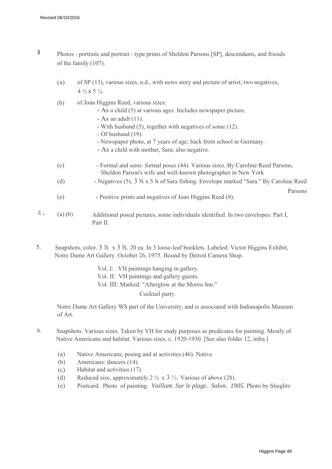- 3 Photos portraits and portrait type prints of Sheldon Parsons [SP], descendants, and friends . of the family (107).
	- (a) of SP (13), various sizes, n.d., with news story and picture of artist; two negatives, 4  $\frac{1}{2}$  x 5  $\frac{1}{4}$ .
	- (b) of Joan Higgins Reed, various sizes:
		- As a child (5) at various ages. Includes newspaper picture.
		- $-$  As an adult (11).
		- With husband (5), together with negatives of some (12).
		- Of husband (19).
		- Newspaper photo, at 7 years of age; back from school in Germany.
		- As a child with mother, Sara; also negative.
	- (c) - Formal and semi- formal poses (44). Various sizes. By Caroline Reed Parsons, Sheldon Parson's wife and well-known photographer in New York
	- (d) - Negatives (5), 3 ½ x 5 ¼ of Sara fishing. Envelope marked "Sara." By Caroline Reed
	- (e) - Positive prints and negatives of Joan Higgins Reed (8).
- $4.$  (a) (b) Additional posed pictures, some individuals identified. In two envelopes: Part I, Part II.
- 5. Snapshots, color. 3 ½ x 3 ½. 20 ea. In 3 loose-leaf booklets. Labeled: Victor Higgins Exhibit, Notre Dame Art Gallery. October 26, 1975. Bound by Detroit Camera Shop.
	- Vol. I: VH paintings hanging in gallery.
	- Vol. II: VH paintings and gallery guests.
	- Vol. III: Marked: "Afterglow at the Morris Inn."

Cocktail party.

Notre Dame Art Gallery WS part of the University, and is associated with Indianapolis Museum of Art.

- 6. Snapshots. Various sizes. Taken by VH for study purposes as predicates for painting. Mostly of Native Americans and habitat. Various sizes. c. 1920-1930. [See also folder 12, infra.]
	- (a) Native Americans, posing and at activities (46). Native
	- (b) Americans: dancers (14).
	- (c) Habitat and activities (17).
	- (d) Reduced size, approximately 2  $\frac{1}{4} \times 3 \frac{1}{2}$ . Various of above (28).
	- (e) Postcard. Photo of painting. *Vaillant. Sur le plage. Salon. 1905.* Photo by Stieglitz

Parsons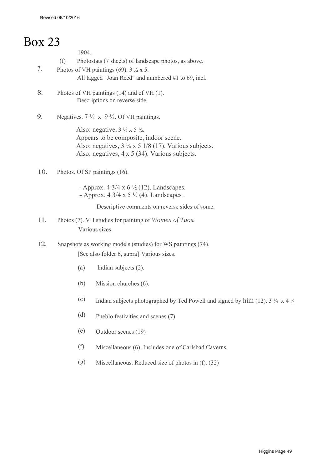## Box 23

1904.

- (f) Photostats (7 sheets) of landscape photos, as above.
- 7. Photos of VH paintings (69).  $3 \frac{1}{2} \times 5$ . All tagged "Joan Reed" and numbered #1 to 69, incl.
- 8. Photos of VH paintings (14) and of VH (1). Descriptions on reverse side.
- 9. Negatives.  $7\frac{3}{4} \times 9\frac{3}{4}$ . Of VH paintings.

Also: negative,  $3 \frac{1}{2} \times 5 \frac{1}{2}$ . Appears to be composite, indoor scene. Also: negatives,  $3\frac{1}{4} \times 5$  1/8 (17). Various subjects. Also: negatives, 4 x 5 (34). Various subjects.

- 10. Photos. Of SP paintings (16).
	- Approx. 4 3/4 x 6  $\frac{1}{2}$  (12). Landscapes. - Approx.  $4 \frac{3}{4} \times 5 \frac{1}{2} (4)$ . Landscapes .

Descriptive comments on reverse sides of some.

- 11. Photos (7). VH studies for painting of *Women of Taos.* Various sizes.
- 12. Snapshots as working models (studies) for WS paintings (74). [See also folder 6, supra] Various sizes.
	- (a) Indian subjects (2).
	- (b) Mission churches (6).
	- (c) Indian subjects photographed by Ted Powell and signed by him (12).  $3\frac{1}{4} \times 4\frac{1}{4}$
	- (d) Pueblo festivities and scenes (7)
	- (e) Outdoor scenes (19)
	- (f) Miscellaneous (6). Includes one of Carlsbad Caverns.
	- (g) Miscellaneous. Reduced size of photos in (f). (32)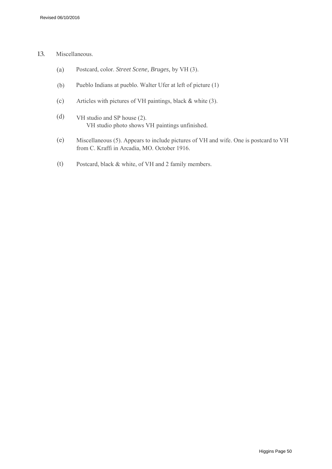#### 13. Miscellaneous.

- (a) Postcard, color. *Street Scene, Bruges,* by VH (3).
- (b) Pueblo Indians at pueblo. Walter Ufer at left of picture (1)
- (c) Articles with pictures of VH paintings, black & white (3).
- (d) VH studio and SP house (2). VH studio photo shows VH paintings unfinished.
- (e) Miscellaneous (5). Appears to include pictures of VH and wife. One is postcard to VH from C. Kraffi in Arcadia, MO. October 1916.
- (t) Postcard, black & white, of VH and 2 family members.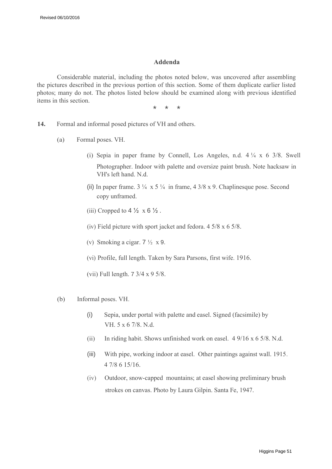#### **Addenda**

Considerable material, including the photos noted below, was uncovered after assembling the pictures described in the previous portion of this section. Some of them duplicate earlier listed photos; many do not. The photos listed below should be examined along with previous identified items in this section.

\* \* \*

- **14.** Formal and informal posed pictures of VH and others.
	- (a) Formal poses. VH.
		- (i) Sepia in paper frame by Connell, Los Angeles, n.d.  $4\frac{1}{4} \times 6\frac{3}{8}$ . Swell Photographer. Indoor with palette and oversize paint brush. Note hacksaw in VH's left hand. N.d.
		- (ii) In paper frame.  $3\frac{1}{4} \times 5\frac{1}{4}$  in frame,  $4\frac{3}{8} \times 9$ . Chaplinesque pose. Second copy unframed.
		- (iii) Cropped to  $4\frac{1}{2} \times 6\frac{1}{2}$ .
		- (iv) Field picture with sport jacket and fedora. 4 5/8 x 6 5/8.
		- (v) Smoking a cigar.  $7\frac{1}{2} \times 9$ .
		- (vi) Profile, full length. Taken by Sara Parsons, first wife. 1916.
		- (vii) Full length. 7 3/4 x 9 5/8.
	- (b) Informal poses. VH.
		- (i) Sepia, under portal with palette and easel. Signed (facsimile) by VH. 5 x 6 7/8. N.d.
		- (ii) In riding habit. Shows unfinished work on easel. 4 9/16 x 6 5/8. N.d.
		- (iii) With pipe, working indoor at easel. Other paintings against wall. 1915. 4 7/8 6 15/16.
		- (iv) Outdoor, snow-capped mountains; at easel showing preliminary brush strokes on canvas. Photo by Laura Gilpin. Santa Fe, 1947.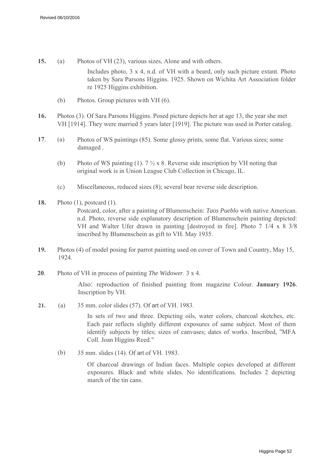- **15.** (a) Photos of VH (23), various sizes, Alone and with others. Includes photo, 3 x 4, n.d. of VH with a beard, only such picture extant. Photo taken by Sara Parsons Higgins. 1925. Shown on Wichita Art Association folder re 1925 Higgins exhibition.
	- (b) Photos. Group pictures with VH (6).
- **16.** Photos (3). Of Sara Parsons Higgins. Posed picture depicts her at age 13, the year she met VH [1914]. They were married 5 years later [1919]. The picture was used in Porter catalog.
- **17**. (a) Photos of WS paintings (85). Some glossy prints, some flat. Various sizes; some damaged .
	- (b) Photo of WS painting (1).  $7\frac{1}{2} \times 8$ . Reverse side inscription by VH noting that original work is in Union League Club Collection in Chicago, IL.
	- (c) Miscellaneous, reduced sizes (8); several bear reverse side description.
- **18.** Photo (1), postcard (1). Postcard, color, after a painting of Blumenschein: *Taos Pueblo* with native American. n.d. Photo, reverse side explanatory description of Blumenschein painting depicted: VH and Walter Ufer drawn in painting [destroyed in fire]. Photo 7 1/4 x 8 3/8 inscribed by Blumenschein as gift to VH. May 1935.
- **19.** Photos (4) of model posing for parrot painting used on cover of Town and Country, May 15, 1924.
- **20**. Photo of VH in process of painting *The Widower.* 3 x 4.

Also: reproduction of finished painting from magazine Colour. **January 1926**. Inscription by VH.

**21.** (a) 35 mm. color slides (57). Of art of VH. 1983.

> In sets of two and three. Depicting oils, water colors, charcoal sketches, etc. Each pair reflects slightly different exposures of same subject. Most of them identify subjects by titles; sizes of canvases; dates of works. Inscribed, ''MFA Coll. Joan Higgins Reed."

(b) 35 mm. slides (14). Of art of VH. 1983.

> Of charcoal drawings of Indian faces. Multiple copies developed at different exposures. Black and white slides. No identifications. Includes 2 depicting march of the tin cans.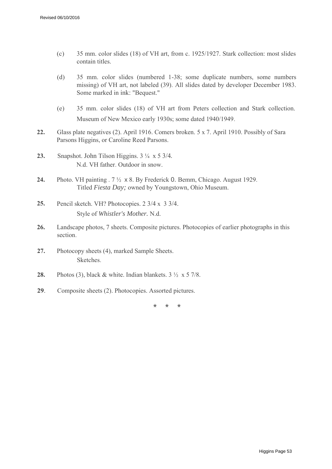- (c) 35 mm. color slides (18) of VH art, from c. 1925/1927. Stark collection: most slides contain titles.
- (d) 35 mm. color slides (numbered 1-38; some duplicate numbers, some numbers missing) of VH art, not labeled (39). All slides dated by developer December 1983. Some marked in ink: "Bequest."
- (e) 35 mm. color slides (18) of VH art from Peters collection and Stark collection. Museum of New Mexico early 1930s; some dated 1940/1949.
- **22.** Glass plate negatives (2). April 1916. Comers broken. 5 x 7. April 1910. Possibly of Sara Parsons Higgins, or Caroline Reed Parsons.
- **23.** Snapshot. John Tilson Higgins. 3 ¼ x 5 3/4*.* N.d. VH father. Outdoor in snow.
- **24.** Photo. VH painting . 7 ½ x 8. By Frederick 0. Bemm, Chicago. August 1929. Titled *Fiesta Day;* owned by Youngstown, Ohio Museum.
- **25.** Pencil sketch. VH? Photocopies. 2 3/4 x 3 3/4. Style of *Whistler's Mother.* N.d.
- **26.** Landscape photos, 7 sheets. Composite pictures. Photocopies of earlier photographs in this section.
- **27.** Photocopy sheets (4), marked Sample Sheets. **Sketches**
- **28.** Photos (3), black & white. Indian blankets. 3 ½ x 5 7/8.
- **29**. Composite sheets (2). Photocopies. Assorted pictures.

\* \* \*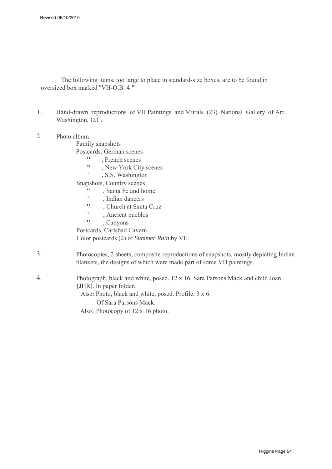The following items, too large to place in standard-size boxes, are to be found in oversized box marked ''VH-O.B. 4."

- 1. Hand-drawn reproductions of VH Paintings and Murals (23). National Gallery of Art. Washington, D.C.
- 2. Photo album.

Family snapshots

Postcards, German scenes

- ", French scenes",  $N_{\text{ew}}$  Vork City
- ", New York City scenes",  $S_S$  Washington
- , S.S. Washington

Snapshots, Country scenes

- ", Santa Fe and home
- ", Indian dancers", Church et Sept.
- " , Church at Santa Cruz
- ", Ancient pueblos
- , Canyons

Postcards, Carlsbad Cavern Color postcards (2) of *Summer Rain* by VH.

- 3. Photocopies, 2 sheets, composite reproductions of snapshots, mostly depicting Indian blankets, the designs of which were made part of some VH paintings.
- 4. Photograph, black and white, posed. 12 x 16. Sara Parsons Mack and child Joan [JHR]. In paper folder.

Also: Photo, black and white, posed. Profile. 3 x 6.

Of Sara Parsons Mack.

Also: Photocopy of 12 x 16 photo.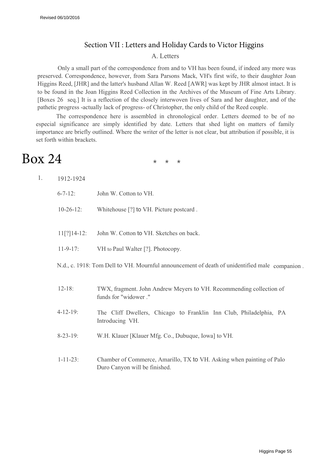#### Section VII : Letters and Holiday Cards to Victor Higgins

#### A. Letters

Only a small part of the correspondence from and to VH has been found, if indeed any more was preserved. Correspondence, however, from Sara Parsons Mack, VH's first wife, to their daughter Joan Higgins Reed, [JHR] and the latter's husband Allan W. Reed [AWR] was kept by JHR almost intact. It is to be found in the Joan Higgins Reed Collection in the Archives of the Museum of Fine Arts Library. [Boxes 26 seq.] It is a reflection of the closely interwoven lives of Sara and her daughter, and of the pathetic progress -actually lack of progress- of Christopher, the only child of the Reed couple.

The correspondence here is assembled in chronological order. Letters deemed to be of no especial significance are simply identified by date. Letters that shed light on matters of family importance are briefly outlined. Where the writer of the letter is not clear, but attribution if possible, it is set forth within brackets.

## Box 24

\* \* \*

| $6 - 7 - 12$ :  | John W. Cotton to VH.                                                                                  |
|-----------------|--------------------------------------------------------------------------------------------------------|
| $10-26-12$ :    | Whitehouse [?] to VH. Picture postcard.                                                                |
| $11[?]14-12$ :  | John W. Cotton to VH. Sketches on back.                                                                |
| $11 - 9 - 17$ : | VH to Paul Walter [?]. Photocopy.                                                                      |
|                 | N.d., c. 1918: Tom Dell to VH. Mournful announcement of death of unidentified male companion.          |
| $12 - 18$ :     | TWX, fragment. John Andrew Meyers to VH. Recommending collection of<br>funds for "widower."            |
| $4 - 12 - 19$ : | The Cliff Dwellers, Chicago to Franklin Inn Club, Philadelphia, PA<br>Introducing VH.                  |
| $8 - 23 - 19$ : | W.H. Klauer [Klauer Mfg. Co., Dubuque, Iowa] to VH.                                                    |
| $1 - 11 - 23$ : | Chamber of Commerce, Amarillo, TX to VH. Asking when painting of Palo<br>Duro Canyon will be finished. |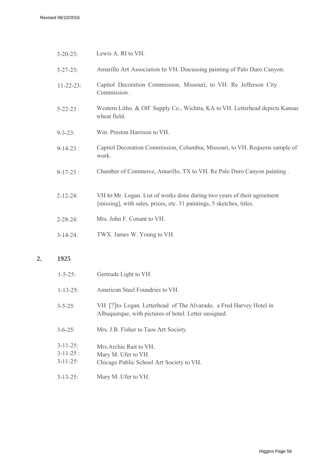| $3 - 20 - 23$ :  | Lewis A. RI to VH.                                                                                                                               |
|------------------|--------------------------------------------------------------------------------------------------------------------------------------------------|
| $3 - 27 - 23$ :  | Amarillo Art Association to VH. Discussing painting of Palo Duro Canyon.                                                                         |
| $11 - 22 - 23$ : | Capitol Decoration Commission, Missouri, to VH. Re Jefferson City<br>Commission.                                                                 |
| $5 - 22 - 23$ :  | Western Litho. & Off Supply Co., Wichita, KA to VH. Letterhead depicts Kansas<br>wheat field.                                                    |
| $9 - 3 - 23$ :   | Wm. Preston Harrison to VH.                                                                                                                      |
| $9-14-23$ :      | Capitol Decoration Commission, Columbia, Missouri, to VH. Requests sample of<br>work.                                                            |
| $9-17-23$ :      | Chamber of Commerce, Amarillo, TX to VH. Re Palo Duro Canyon painting.                                                                           |
| $2 - 12 - 24$ :  | VH to Mr. Logan. List of works done during two years of their agreement<br>[missing], with sales, prices, etc. 31 paintings, 5 sketches, titles. |
| $2 - 28 - 24$ :  | Mrs. John F. Conant to VH.                                                                                                                       |
| $3-14-24$ :      | TWX. James W. Young to VH.                                                                                                                       |
|                  |                                                                                                                                                  |

#### **2. 1925**

| $1 - 5 - 25$                                        | Gertrude Light to VH.                                                                                                         |
|-----------------------------------------------------|-------------------------------------------------------------------------------------------------------------------------------|
| $1 - 13 - 25$ :                                     | American Steel Foundries to VH                                                                                                |
| $3 - 5 - 25$                                        | VH [?] to. Logan. Letterhead of The Alvarado, a Fred Harvey Hotel in<br>Albuquerque, with pictures of hotel. Letter unsigned. |
| $3 - 6 - 25$                                        | Mrs. J.B. Fisher to Taos Art Society.                                                                                         |
| $3 - 11 - 25$ :<br>$3 - 11 - 25$ :<br>$3 - 11 - 25$ | Mrs Archie Rait to VH<br>Mary M. Ufer to VH.<br>Chicago Public School Art Society to VH.                                      |
| $3 - 13 - 25$ :                                     | Mary M. Ufer to VH.                                                                                                           |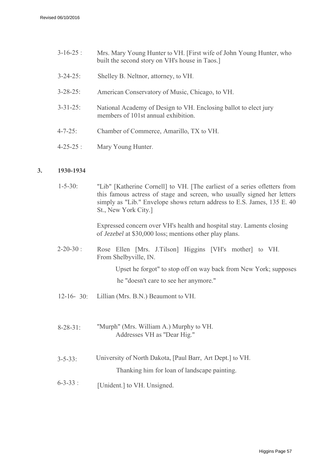| $3 - 16 - 25$ : | Mrs. Mary Young Hunter to VH. [First wife of John Young Hunter, who<br>built the second story on VH's house in Taos. |
|-----------------|----------------------------------------------------------------------------------------------------------------------|
| $3 - 24 - 25$ : | Shelley B. Neltnor, attorney, to VH.                                                                                 |
| $3 - 28 - 25$ : | American Conservatory of Music, Chicago, to VH.                                                                      |
| $3 - 31 - 25$ : | National Academy of Design to VH. Enclosing ballot to elect jury<br>members of 101st annual exhibition.              |
| $4 - 7 - 25$ :  | Chamber of Commerce, Amarillo, TX to VH.                                                                             |
| $4 - 25 - 25$ : | Mary Young Hunter.                                                                                                   |
|                 |                                                                                                                      |

#### **3. 1930-1934**

 $1 - 5 - 30$ : ''Lib" [Katherine Cornell] to VH. [The earliest of a series ofletters from this famous actress of stage and screen, who usually signed her letters simply as "Lib." Envelope shows return address to E.S. James, 135 E. 40 St., New York City.]

> Expressed concern over VH's health and hospital stay. Laments closing of *Jezebel* at \$30,000 loss; mentions other play plans.

 $2 - 20 - 30$  : Rose Ellen [Mrs. J.Tilson] Higgins [VH's mother] to VH. From Shelbyville, IN.

> Upset he forgot" to stop off on way back from New York; supposes he "doesn't care to see her anymore."

- $12-16-30$ : Lillian (Mrs. B.N.) Beaumont to VH.
- $8 28 31$ ''Murph" (Mrs. William A.) Murphy to VH. Addresses VH as ''Dear Hig."
- $3 5 33$ : University of North Dakota, [Paul Barr, Art Dept.] to VH. Thanking him for loan of landscape painting.
- $6 3 33$ : [Unident.] to VH. Unsigned.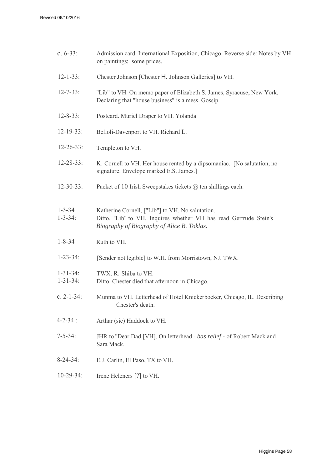| c. $6-33$ :                        | Admission card. International Exposition, Chicago. Reverse side: Notes by VH<br>on paintings; some prices.                                                          |
|------------------------------------|---------------------------------------------------------------------------------------------------------------------------------------------------------------------|
| $12 - 1 - 33$ :                    | Chester Johnson [Chester H. Johnson Galleries] to VH.                                                                                                               |
| $12 - 7 - 33$ :                    | "Lib" to VH. On memo paper of Elizabeth S. James, Syracuse, New York.<br>Declaring that "house business" is a mess. Gossip.                                         |
| $12 - 8 - 33$ :                    | Postcard. Muriel Draper to VH. Yolanda                                                                                                                              |
| $12-19-33$ :                       | Belloli-Davenport to VH. Richard L.                                                                                                                                 |
| $12 - 26 - 33$ :                   | Templeton to VH.                                                                                                                                                    |
| $12 - 28 - 33$ :                   | K. Cornell to VH. Her house rented by a dipsomaniac. [No salutation, no<br>signature. Envelope marked E.S. James.]                                                  |
| $12 - 30 - 33$ :                   | Packet of 10 Irish Sweepstakes tickets $(a)$ ten shillings each.                                                                                                    |
| $1 - 3 - 34$<br>$1 - 3 - 34$ :     | Katherine Cornell, ["Lib"] to VH. No salutation.<br>Ditto. "Lib" to VH. Inquires whether VH has read Gertrude Stein's<br>Biography of Biography of Alice B. Toklas. |
| $1 - 8 - 34$                       | Ruth to VH.                                                                                                                                                         |
| $1 - 23 - 34$ :                    | [Sender not legible] to W.H. from Morristown, NJ. TWX.                                                                                                              |
| $1 - 31 - 34$ :<br>$1 - 31 - 34$ : | TWX. R. Shiba to VH.<br>Ditto. Chester died that afternoon in Chicago.                                                                                              |
| c. $2 - 1 - 34$ :                  | Munma to VH. Letterhead of Hotel Knickerbocker, Chicago, IL. Describing<br>Chester's death.                                                                         |
| $4 - 2 - 34$ :                     | Arthar (sic) Haddock to VH.                                                                                                                                         |
| $7 - 5 - 34$ :                     | JHR to "Dear Dad [VH]. On letterhead - bas relief - of Robert Mack and<br>Sara Mack.                                                                                |
| $8 - 24 - 34$ :                    | E.J. Carlin, El Paso, TX to VH.                                                                                                                                     |
| $10-29-34$ :                       | Irene Heleners [?] to VH.                                                                                                                                           |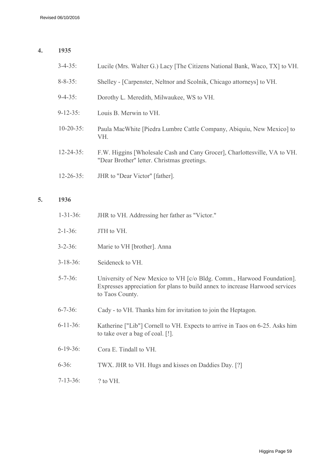#### **4. 1935**

| $3 - 4 - 35$ :   | Lucile (Mrs. Walter G.) Lacy [The Citizens National Bank, Waco, TX] to VH.                                               |
|------------------|--------------------------------------------------------------------------------------------------------------------------|
| $8 - 8 - 35$ :   | Shelley - [Carpenster, Neltnor and Scolnik, Chicago attorneys] to VH.                                                    |
| $9 - 4 - 35$ :   | Dorothy L. Meredith, Milwaukee, WS to VH.                                                                                |
| $9 - 12 - 35$ :  | Louis B. Merwin to VH.                                                                                                   |
| $10 - 20 - 35$ : | Paula MacWhite [Piedra Lumbre Cattle Company, Abiquiu, New Mexico] to<br>VH.                                             |
| $12 - 24 - 35$ : | F.W. Higgins [Wholesale Cash and Cany Grocer], Charlottesville, VA to VH.<br>"Dear Brother" letter. Christmas greetings. |
| $12 - 26 - 35$ : | JHR to "Dear Victor" [father].                                                                                           |

#### **5. 1936**

| $1 - 31 - 36$ : | JHR to VH. Addressing her father as "Victor."                                                                                                                            |
|-----------------|--------------------------------------------------------------------------------------------------------------------------------------------------------------------------|
| $2 - 1 - 36$ :  | JTH to VH.                                                                                                                                                               |
| $3 - 2 - 36$ :  | Marie to VH [brother]. Anna                                                                                                                                              |
| $3 - 18 - 36$ : | Seideneck to VH.                                                                                                                                                         |
| $5 - 7 - 36$ :  | University of New Mexico to VH [c/o Bldg. Comm., Harwood Foundation].<br>Expresses appreciation for plans to build annex to increase Harwood services<br>to Taos County. |
| $6 - 7 - 36$ :  | Cady - to VH. Thanks him for invitation to join the Heptagon.                                                                                                            |
| $6 - 11 - 36$ : | Katherine ["Lib"] Cornell to VH. Expects to arrive in Taos on 6-25. Asks him<br>to take over a bag of coal. [!].                                                         |
| $6-19-36$ :     | Cora E. Tindall to VH.                                                                                                                                                   |
| $6 - 36$ :      | TWX. JHR to VH. Hugs and kisses on Daddies Day. [?]                                                                                                                      |
| $7 - 13 - 36$ : | ? to VH.                                                                                                                                                                 |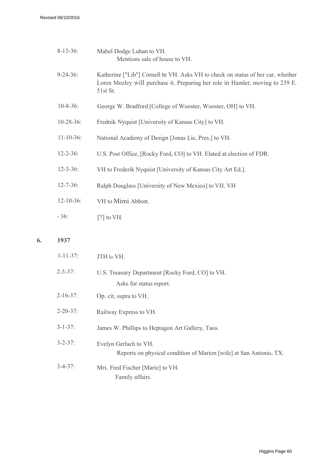**6. 1937**

| $8-13-36$ :      | Mabel Dodge Luhan to VH.<br>Mentions sale of house to VH.                                                                                                                    |
|------------------|------------------------------------------------------------------------------------------------------------------------------------------------------------------------------|
| $9 - 24 - 36$ :  | Katherine ["Lib"] Cornell to VH. Asks VH to check on status of her car, whether<br>Loren Mozley will purchase it. Preparing her role in Hamlet; moving to 239 E.<br>51st St. |
| $10 - 8 - 36$ :  | George W. Bradford [College of Wooster, Wooster, OH] to VH.                                                                                                                  |
| $10-28-36$ :     | Frednik Nyquist [University of Kansas City] to VH.                                                                                                                           |
| $11 - 10 - 36$ : | National Academy of Design [Jonas Lie, Pres.] to VH.                                                                                                                         |
| $12 - 2 - 36$ :  | U.S. Post Office, [Rocky Ford, CO] to VH. Elated at election of FDR.                                                                                                         |
| $12 - 3 - 36$ :  | VH to Frederik Nyquist [University of Kansas City Art Ed.].                                                                                                                  |
| $12 - 7 - 36$ :  | Ralph Douglass [University of New Mexico] to VH. VH                                                                                                                          |
| $12 - 10 - 36$ : | VH to Mimi Abbott.                                                                                                                                                           |
| $-36:$           | $[?]$ to VH.                                                                                                                                                                 |
| 1937             |                                                                                                                                                                              |
| $1 - 11 - 37$ :  | JTH to VH.                                                                                                                                                                   |

| $2 - 3 - 37$ :  | U.S. Treasury Department [Rocky Ford, CO] to VH.<br>Asks for status report.                 |
|-----------------|---------------------------------------------------------------------------------------------|
|                 |                                                                                             |
| $2 - 16 - 37$ : | Op. cit, supra to VH.                                                                       |
| $2 - 20 - 37$ : | Railway Express to VH.                                                                      |
| $3 - 1 - 37$ :  | James W. Phillips to Heptagon Art Gallery, Taos.                                            |
| $3 - 2 - 37$    | Evelyn Gerlach to VH.<br>Reports on physical condition of Marion [wife] at San Antonio, TX. |
| $3 - 4 - 37$ :  | Mrs. Fred Fischer [Marie] to VH.<br>Family affairs.                                         |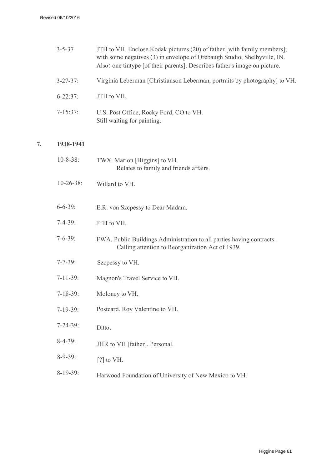**7. 1938-1941**

| $3 - 5 - 37$    | JTH to VH. Enclose Kodak pictures (20) of father [with family members];<br>with some negatives (3) in envelope of Orebaugh Studio, Shelbyville, IN.<br>Also: one tintype [of their parents]. Describes father's image on picture. |
|-----------------|-----------------------------------------------------------------------------------------------------------------------------------------------------------------------------------------------------------------------------------|
| $3 - 27 - 37$ : | Virginia Leberman [Christianson Leberman, portraits by photography] to VH.                                                                                                                                                        |
| $6 - 22:37$ :   | JTH to VH.                                                                                                                                                                                                                        |
| $7 - 15:37:$    | U.S. Post Office, Rocky Ford, CO to VH.<br>Still waiting for painting.                                                                                                                                                            |
| 1938-1941       |                                                                                                                                                                                                                                   |
| $10 - 8 - 38$ : | TWX. Marion [Higgins] to VH.<br>Relates to family and friends affairs.                                                                                                                                                            |
| $10-26-38$ :    | Willard to VH.                                                                                                                                                                                                                    |
| $6 - 6 - 39$ :  | E.R. von Szcpessy to Dear Madam.                                                                                                                                                                                                  |
| $7 - 4 - 39$ :  | JTH to VH.                                                                                                                                                                                                                        |
| $7 - 6 - 39$ :  | FWA, Public Buildings Administration to all parties having contracts.<br>Calling attention to Reorganization Act of 1939.                                                                                                         |
| $7 - 7 - 39$ :  | Szcpessy to VH.                                                                                                                                                                                                                   |
| $7-11-39$ :     | Magnon's Travel Service to VH.                                                                                                                                                                                                    |
| $7 - 18 - 39$ : | Moloney to VH.                                                                                                                                                                                                                    |
| $7-19-39$ :     | Postcard. Roy Valentine to VH.                                                                                                                                                                                                    |
| $7 - 24 - 39$ : | Ditto.                                                                                                                                                                                                                            |
| $8-4-39$ :      | JHR to VH [father]. Personal.                                                                                                                                                                                                     |
| $8-9-39$ :      | $[?]$ to VH.                                                                                                                                                                                                                      |
| $8-19-39$ :     | Harwood Foundation of University of New Mexico to VH.                                                                                                                                                                             |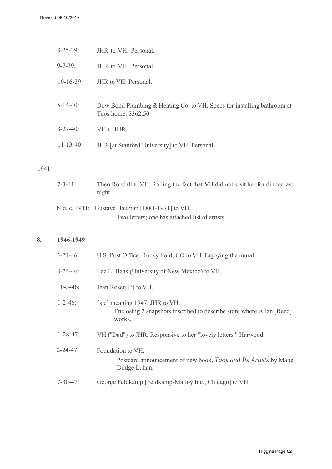| $8 - 25 - 39$ :  | JHR to VH. Personal.                                                                           |
|------------------|------------------------------------------------------------------------------------------------|
| $9 - 7 - 39$ :   | JHR to VH. Personal.                                                                           |
| $10-16-39$ :     | JHR to VH. Personal.                                                                           |
| $5 - 14 - 40$ :  | Dow Bond Plumbing & Heating Co. to VH. Specs for installing bathroom at<br>Taos home. \$362.50 |
| $8-27-40$ :      | VH to JHR.                                                                                     |
| $11 - 13 - 40$ : | JHR [at Stanford University] to VH. Personal.                                                  |
|                  |                                                                                                |

#### 1941

| $7 - 3 - 41$ : | Theo Rondall to VH. Railing the fact that VH did not visit her for dinner last<br>night.          |
|----------------|---------------------------------------------------------------------------------------------------|
|                | N.d. c. 1941: Gustave Bauman [1881-1971] to VH.<br>Two letters; one has attached list of artists. |

#### **8. 1946-1949**

| $3 - 21 - 46$ : | U.S. Post Office, Rocky Ford, CO to VH. Enjoying the mural.                                                      |
|-----------------|------------------------------------------------------------------------------------------------------------------|
| $8-24-46$ :     | Lez L. Haas (University of New Mexico) to VH.                                                                    |
| $10 - 5 - 46$ : | Jean Rosen [?] to VH.                                                                                            |
| $1 - 2 - 46$ :  | [sic] meaning 1947. JHR to VH.<br>Enclosing 2 snapshots inscribed to describe store where Allan [Reed]<br>works. |
| $1 - 28 - 47$ : | VH ("Dad") to JHR. Responsive to her "lovely letters." Harwood                                                   |
| $2 - 24 - 47$ : | Foundation to VH.<br>Postcard announcement of new book, Taos and Its Artists by Mabel<br>Dodge Luhan.            |
| $7 - 30 - 47$ : | George Feldkamp [Feldkamp-Malloy Inc., Chicago] to VH.                                                           |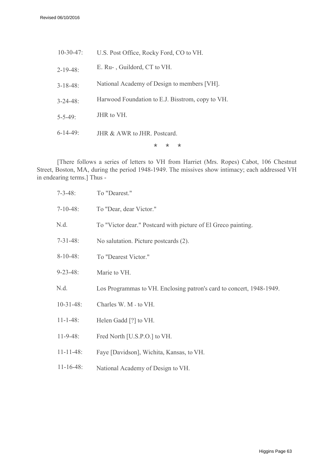| $10 - 30 - 47$ : | U.S. Post Office, Rocky Ford, CO to VH.          |
|------------------|--------------------------------------------------|
| $2 - 19 - 48$ :  | E. Ru-, Guildord, CT to VH.                      |
| $3 - 18 - 48$ :  | National Academy of Design to members [VH].      |
| $3 - 24 - 48$    | Harwood Foundation to E.J. Bisstrom, copy to VH. |
| $5 - 5 - 49$     | JHR to VH.                                       |
| $6 - 14 - 49$    | $JHR & AWR$ to $JHR$ Postcard                    |
|                  | *<br>$\star$<br>*                                |
|                  |                                                  |

[There follows a series of letters to VH from Harriet (Mrs. Ropes) Cabot, 106 Chestnut Street, Boston, MA, during the period 1948-1949. The missives show intimacy; each addressed VH in endearing terms.] Thus -

| $7 - 3 - 48$ :   | To "Dearest."                                                        |
|------------------|----------------------------------------------------------------------|
| $7-10-48$ :      | To "Dear, dear Victor."                                              |
| N.d.             | To "Victor dear." Postcard with picture of El Greco painting.        |
| $7-31-48$ :      | No salutation. Picture postcards (2).                                |
| $8-10-48$ :      | To "Dearest Victor."                                                 |
| $9 - 23 - 48$ :  | Marie to VH.                                                         |
| N.d.             | Los Programmas to VH. Enclosing patron's card to concert, 1948-1949. |
| $10-31-48$ :     | Charles W. M - to VH.                                                |
| $11 - 1 - 48$ :  | Helen Gadd [?] to VH.                                                |
| $11 - 9 - 48$ :  | Fred North [U.S.P.O.] to VH.                                         |
| $11 - 11 - 48$ : | Faye [Davidson], Wichita, Kansas, to VH.                             |
|                  |                                                                      |

11-16-48: National Academy of Design to VH.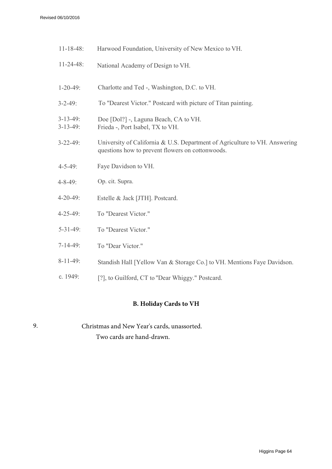| $11 - 18 - 48$ :           | Harwood Foundation, University of New Mexico to VH.                                                                            |
|----------------------------|--------------------------------------------------------------------------------------------------------------------------------|
| $11 - 24 - 48$ :           | National Academy of Design to VH.                                                                                              |
| $1 - 20 - 49$ :            | Charlotte and Ted -, Washington, D.C. to VH.                                                                                   |
| $3 - 2 - 49$ :             | To "Dearest Victor." Postcard with picture of Titan painting.                                                                  |
| $3-13-49$ :<br>$3-13-49$ : | Doe [Dol?] -, Laguna Beach, CA to VH.<br>Frieda -, Port Isabel, TX to VH.                                                      |
| $3 - 22 - 49$ :            | University of California & U.S. Department of Agriculture to VH. Answering<br>questions how to prevent flowers on cottonwoods. |
| $4 - 5 - 49$ :             | Faye Davidson to VH.                                                                                                           |
| $4 - 8 - 49$ :             | Op. cit. Supra.                                                                                                                |
| $4 - 20 - 49$ :            | Estelle & Jack [JTH]. Postcard.                                                                                                |
| $4 - 25 - 49$ :            | To "Dearest Victor."                                                                                                           |
| $5 - 31 - 49$ :            | To "Dearest Victor."                                                                                                           |
| $7-14-49$ :                | To "Dear Victor."                                                                                                              |
| $8-11-49$ :                | Standish Hall [Yellow Van & Storage Co.] to VH. Mentions Faye Davidson.                                                        |
| c. 1949:                   | [?], to Guilford, CT to "Dear Whiggy." Postcard.                                                                               |

#### **B. Holiday Cards to VH**

| 9. | Christmas and New Year's cards, unassorted. |
|----|---------------------------------------------|
|    | Two cards are hand-drawn.                   |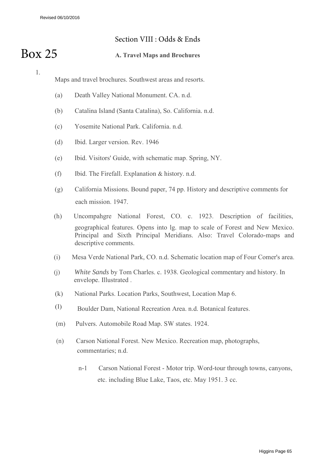#### Section VIII : Odds & Ends

## Box 25

#### **A. Travel Maps and Brochures**

1.

Maps and travel brochures. Southwest areas and resorts.

- (a) Death Valley National Monument. CA. n.d.
- (b) Catalina Island (Santa Catalina), So. California. n.d.
- (c) Yosemite National Park. California. n.d.
- (d) Ibid. Larger version. Rev. 1946
- (e) Ibid. Visitors' Guide, with schematic map. Spring, NY.
- (f) Ibid. The Firefall. Explanation & history. n.d.
- (g) California Missions. Bound paper, 74 pp. History and descriptive comments for each mission. 1947.
- (h) Uncompahgre National Forest, CO. c. 1923. Description of facilities, geographical features. Opens into lg. map to scale of Forest and New Mexico. Principal and Sixth Principal Meridians. Also: Travel Colorado-maps and descriptive comments.
- (i) Mesa Verde National Park, CO. n.d. Schematic location map of Four Comer's area.
- (j) *White Sands* by Tom Charles. c. 1938. Geological commentary and history. In envelope. Illustrated .
- (k) National Parks. Location Parks, Southwest, Location Map 6.
- (l) Boulder Dam, National Recreation Area. n.d. Botanical features.
- (m) Pulvers. Automobile Road Map. SW states. 1924.
- (n) Carson National Forest. New Mexico. Recreation map, photographs, commentaries; n.d.
	- n-1 Carson National Forest Motor trip. Word-tour through towns, canyons, etc. including Blue Lake, Taos, etc. May 1951. 3 cc.